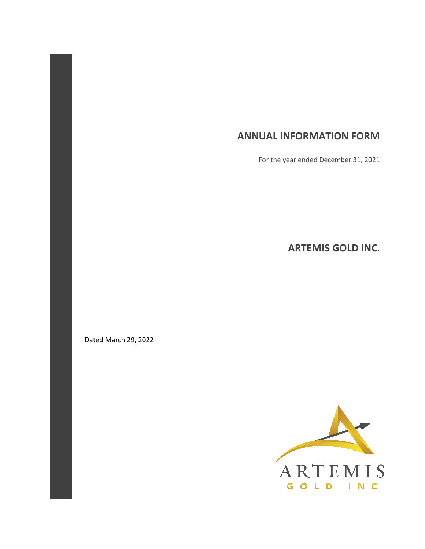## **ANNUAL INFORMATION FORM**

For the year ended December 31, 2021

**ARTEMIS GOLD INC.** 

Dated March 29, 2022

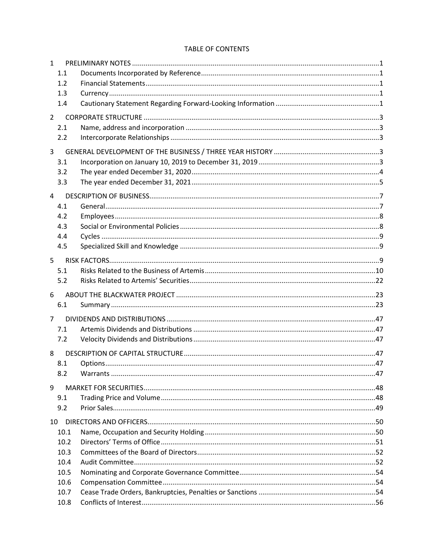#### TABLE OF CONTENTS

| $\mathbf{1}$   |      |  |
|----------------|------|--|
|                | 1.1  |  |
|                | 1.2  |  |
|                | 1.3  |  |
|                | 1.4  |  |
| $\overline{2}$ |      |  |
|                | 2.1  |  |
|                | 2.2  |  |
| 3              |      |  |
|                | 3.1  |  |
|                | 3.2  |  |
|                | 3.3  |  |
| 4              |      |  |
|                | 4.1  |  |
|                | 4.2  |  |
|                | 4.3  |  |
|                | 4.4  |  |
|                | 4.5  |  |
| 5              |      |  |
|                | 5.1  |  |
|                | 5.2  |  |
|                |      |  |
| 6              | 6.1  |  |
|                |      |  |
| $\overline{7}$ |      |  |
|                | 7.1  |  |
|                | 7.2  |  |
| 8              |      |  |
|                | 8.1  |  |
|                | 8.2  |  |
| 9              |      |  |
|                | 9.1  |  |
|                | 9.2  |  |
| 10             |      |  |
|                | 10.1 |  |
|                | 10.2 |  |
|                | 10.3 |  |
|                | 10.4 |  |
|                | 10.5 |  |
|                | 10.6 |  |
|                | 10.7 |  |
|                | 10.8 |  |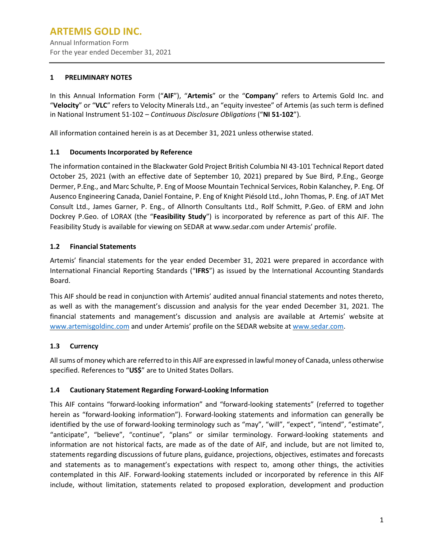#### <span id="page-3-0"></span>**1 PRELIMINARY NOTES**

In this Annual Information Form ("**AIF**"), "**Artemis**" or the "**Company**" refers to Artemis Gold Inc. and "**Velocity**" or "**VLC**" refers to Velocity Minerals Ltd., an "equity investee" of Artemis (as such term is defined in National Instrument 51-102 – *Continuous Disclosure Obligations* ("**NI 51-102**").

<span id="page-3-1"></span>All information contained herein is as at December 31, 2021 unless otherwise stated.

## **1.1 Documents Incorporated by Reference**

The information contained in the Blackwater Gold Project British Columbia NI 43-101 Technical Report dated October 25, 2021 (with an effective date of September 10, 2021) prepared by Sue Bird, P.Eng., George Dermer, P.Eng., and Marc Schulte, P. Eng of Moose Mountain Technical Services, Robin Kalanchey, P. Eng. Of Ausenco Engineering Canada, Daniel Fontaine, P. Eng of Knight Piésold Ltd., John Thomas, P. Eng. of JAT Met Consult Ltd., James Garner, P. Eng., of Allnorth Consultants Ltd., Rolf Schmitt, P.Geo. of ERM and John Dockrey P.Geo. of LORAX (the "**Feasibility Study**") is incorporated by reference as part of this AIF. The Feasibility Study is available for viewing on SEDAR at www.sedar.com under Artemis' profile.

## <span id="page-3-2"></span>**1.2 Financial Statements**

Artemis' financial statements for the year ended December 31, 2021 were prepared in accordance with International Financial Reporting Standards ("**IFRS**") as issued by the International Accounting Standards Board.

This AIF should be read in conjunction with Artemis' audited annual financial statements and notes thereto, as well as with the management's discussion and analysis for the year ended December 31, 2021. The financial statements and management's discussion and analysis are available at Artemis' website at [www.artemisgoldinc.com](http://www.artemisgoldinc.com/) and under Artemis' profile on the SEDAR website at [www.sedar.com.](http://www.sedar.com/)

## <span id="page-3-3"></span>**1.3 Currency**

Allsums of money which are referred to in this AIF are expressed in lawful money of Canada, unless otherwise specified. References to "**US\$**" are to United States Dollars.

#### <span id="page-3-4"></span>**1.4 Cautionary Statement Regarding Forward-Looking Information**

This AIF contains "forward-looking information" and "forward-looking statements" (referred to together herein as "forward-looking information"). Forward-looking statements and information can generally be identified by the use of forward-looking terminology such as "may", "will", "expect", "intend", "estimate", "anticipate", "believe", "continue", "plans" or similar terminology. Forward-looking statements and information are not historical facts, are made as of the date of AIF, and include, but are not limited to, statements regarding discussions of future plans, guidance, projections, objectives, estimates and forecasts and statements as to management's expectations with respect to, among other things, the activities contemplated in this AIF. Forward-looking statements included or incorporated by reference in this AIF include, without limitation, statements related to proposed exploration, development and production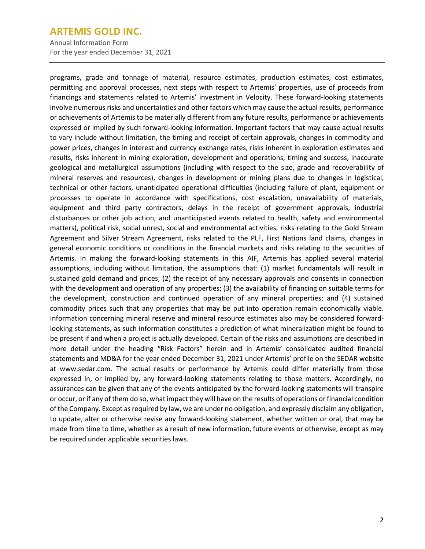Annual Information Form For the year ended December 31, 2021

programs, grade and tonnage of material, resource estimates, production estimates, cost estimates, permitting and approval processes, next steps with respect to Artemis' properties, use of proceeds from financings and statements related to Artemis' investment in Velocity. These forward-looking statements involve numerous risks and uncertainties and other factors which may cause the actual results, performance or achievements of Artemis to be materially different from any future results, performance or achievements expressed or implied by such forward-looking information. Important factors that may cause actual results to vary include without limitation, the timing and receipt of certain approvals, changes in commodity and power prices, changes in interest and currency exchange rates, risks inherent in exploration estimates and results, risks inherent in mining exploration, development and operations, timing and success, inaccurate geological and metallurgical assumptions (including with respect to the size, grade and recoverability of mineral reserves and resources), changes in development or mining plans due to changes in logistical, technical or other factors, unanticipated operational difficulties (including failure of plant, equipment or processes to operate in accordance with specifications, cost escalation, unavailability of materials, equipment and third party contractors, delays in the receipt of government approvals, industrial disturbances or other job action, and unanticipated events related to health, safety and environmental matters), political risk, social unrest, social and environmental activities, risks relating to the Gold Stream Agreement and Silver Stream Agreement, risks related to the PLF, First Nations land claims, changes in general economic conditions or conditions in the financial markets and risks relating to the securities of Artemis. In making the forward-looking statements in this AIF, Artemis has applied several material assumptions, including without limitation, the assumptions that: (1) market fundamentals will result in sustained gold demand and prices; (2) the receipt of any necessary approvals and consents in connection with the development and operation of any properties; (3) the availability of financing on suitable terms for the development, construction and continued operation of any mineral properties; and (4) sustained commodity prices such that any properties that may be put into operation remain economically viable. Information concerning mineral reserve and mineral resource estimates also may be considered forwardlooking statements, as such information constitutes a prediction of what mineralization might be found to be present if and when a project is actually developed. Certain of the risks and assumptions are described in more detail under the heading "Risk Factors" herein and in Artemis' consolidated audited financial statements and MD&A for the year ended December 31, 2021 under Artemis' profile on the SEDAR website at www.sedar.com. The actual results or performance by Artemis could differ materially from those expressed in, or implied by, any forward-looking statements relating to those matters. Accordingly, no assurances can be given that any of the events anticipated by the forward-looking statements will transpire or occur, or if any of them do so, what impact they will have on the results of operations orfinancial condition of the Company. Except asrequired by law, we are under no obligation, and expressly disclaim any obligation, to update, alter or otherwise revise any forward-looking statement, whether written or oral, that may be made from time to time, whether as a result of new information, future events or otherwise, except as may be required under applicable securities laws.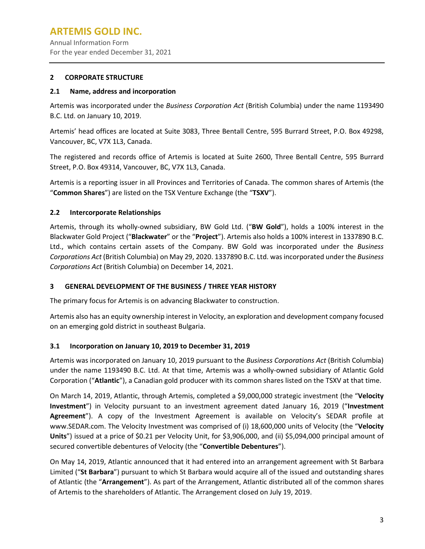Annual Information Form For the year ended December 31, 2021

#### <span id="page-5-0"></span>**2 CORPORATE STRUCTURE**

#### <span id="page-5-1"></span>**2.1 Name, address and incorporation**

Artemis was incorporated under the *Business Corporation Act* (British Columbia) under the name 1193490 B.C. Ltd. on January 10, 2019.

Artemis' head offices are located at Suite 3083, Three Bentall Centre, 595 Burrard Street, P.O. Box 49298, Vancouver, BC, V7X 1L3, Canada.

The registered and records office of Artemis is located at Suite 2600, Three Bentall Centre, 595 Burrard Street, P.O. Box 49314, Vancouver, BC, V7X 1L3, Canada.

Artemis is a reporting issuer in all Provinces and Territories of Canada. The common shares of Artemis (the "**Common Shares**") are listed on the TSX Venture Exchange (the "**TSXV**").

## <span id="page-5-2"></span>**2.2 Intercorporate Relationships**

Artemis, through its wholly-owned subsidiary, BW Gold Ltd. ("**BW Gold**"), holds a 100% interest in the Blackwater Gold Project ("**Blackwater**" or the "**Project**"). Artemis also holds a 100% interest in 1337890 B.C. Ltd., which contains certain assets of the Company. BW Gold was incorporated under the *Business Corporations Act* (British Columbia) on May 29, 2020. 1337890 B.C. Ltd. was incorporated under the *Business Corporations Act* (British Columbia) on December 14, 2021.

## <span id="page-5-3"></span>**3 GENERAL DEVELOPMENT OF THE BUSINESS / THREE YEAR HISTORY**

The primary focus for Artemis is on advancing Blackwater to construction.

Artemis also has an equity ownership interest in Velocity, an exploration and development company focused on an emerging gold district in southeast Bulgaria.

## <span id="page-5-4"></span>**3.1 Incorporation on January 10, 2019 to December 31, 2019**

Artemis was incorporated on January 10, 2019 pursuant to the *Business Corporations Act* (British Columbia) under the name 1193490 B.C. Ltd. At that time, Artemis was a wholly-owned subsidiary of Atlantic Gold Corporation ("**Atlantic**"), a Canadian gold producer with its common shares listed on the TSXV at that time.

On March 14, 2019, Atlantic, through Artemis, completed a \$9,000,000 strategic investment (the "**Velocity Investment**") in Velocity pursuant to an investment agreement dated January 16, 2019 ("**Investment Agreement**"). A copy of the Investment Agreement is available on Velocity's SEDAR profile at www.SEDAR.com. The Velocity Investment was comprised of (i) 18,600,000 units of Velocity (the "**Velocity Units**") issued at a price of \$0.21 per Velocity Unit, for \$3,906,000, and (ii) \$5,094,000 principal amount of secured convertible debentures of Velocity (the "**Convertible Debentures**").

On May 14, 2019, Atlantic announced that it had entered into an arrangement agreement with St Barbara Limited ("**St Barbara**") pursuant to which St Barbara would acquire all of the issued and outstanding shares of Atlantic (the "**Arrangement**"). As part of the Arrangement, Atlantic distributed all of the common shares of Artemis to the shareholders of Atlantic. The Arrangement closed on July 19, 2019.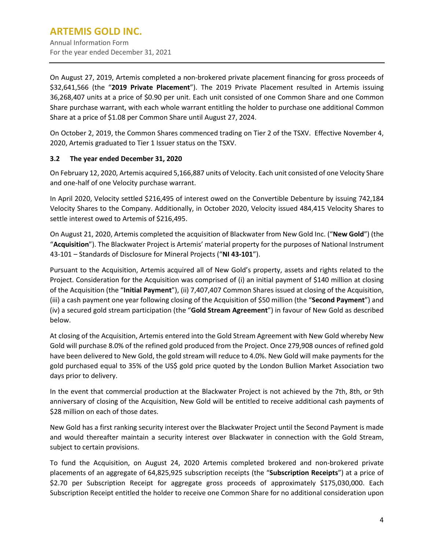For the year ended December 31, 2021

On August 27, 2019, Artemis completed a non-brokered private placement financing for gross proceeds of \$32,641,566 (the "**2019 Private Placement**"). The 2019 Private Placement resulted in Artemis issuing 36,268,407 units at a price of \$0.90 per unit. Each unit consisted of one Common Share and one Common Share purchase warrant, with each whole warrant entitling the holder to purchase one additional Common Share at a price of \$1.08 per Common Share until August 27, 2024.

On October 2, 2019, the Common Shares commenced trading on Tier 2 of the TSXV. Effective November 4, 2020, Artemis graduated to Tier 1 Issuer status on the TSXV.

## <span id="page-6-0"></span>**3.2 The year ended December 31, 2020**

On February 12, 2020, Artemis acquired 5,166,887 units of Velocity. Each unit consisted of one Velocity Share and one-half of one Velocity purchase warrant.

In April 2020, Velocity settled \$216,495 of interest owed on the Convertible Debenture by issuing 742,184 Velocity Shares to the Company. Additionally, in October 2020, Velocity issued 484,415 Velocity Shares to settle interest owed to Artemis of \$216,495.

On August 21, 2020, Artemis completed the acquisition of Blackwater from New Gold Inc. ("**New Gold**") (the "**Acquisition**"). The Blackwater Project is Artemis' material property for the purposes of National Instrument 43-101 – Standards of Disclosure for Mineral Projects ("**NI 43-101**").

Pursuant to the Acquisition, Artemis acquired all of New Gold's property, assets and rights related to the Project. Consideration for the Acquisition was comprised of (i) an initial payment of \$140 million at closing of the Acquisition (the "**Initial Payment**"), (ii) 7,407,407 Common Shares issued at closing of the Acquisition, (iii) a cash payment one year following closing of the Acquisition of \$50 million (the "**Second Payment**") and (iv) a secured gold stream participation (the "**Gold Stream Agreement**") in favour of New Gold as described below.

At closing of the Acquisition, Artemis entered into the Gold Stream Agreement with New Gold whereby New Gold will purchase 8.0% of the refined gold produced from the Project. Once 279,908 ounces of refined gold have been delivered to New Gold, the gold stream will reduce to 4.0%. New Gold will make payments for the gold purchased equal to 35% of the US\$ gold price quoted by the London Bullion Market Association two days prior to delivery.

In the event that commercial production at the Blackwater Project is not achieved by the 7th, 8th, or 9th anniversary of closing of the Acquisition, New Gold will be entitled to receive additional cash payments of \$28 million on each of those dates.

New Gold has a first ranking security interest over the Blackwater Project until the Second Payment is made and would thereafter maintain a security interest over Blackwater in connection with the Gold Stream, subject to certain provisions.

To fund the Acquisition, on August 24, 2020 Artemis completed brokered and non-brokered private placements of an aggregate of 64,825,925 subscription receipts (the "**Subscription Receipts**") at a price of \$2.70 per Subscription Receipt for aggregate gross proceeds of approximately \$175,030,000. Each Subscription Receipt entitled the holder to receive one Common Share for no additional consideration upon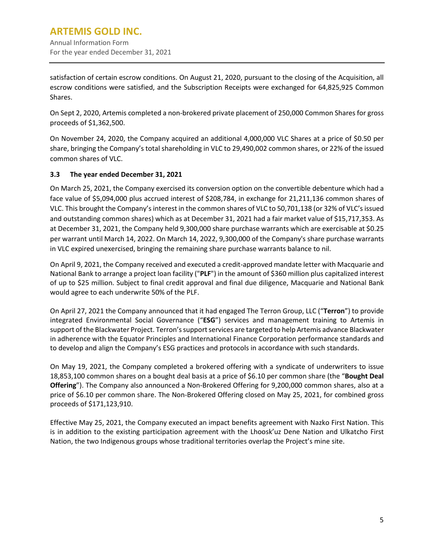satisfaction of certain escrow conditions. On August 21, 2020, pursuant to the closing of the Acquisition, all escrow conditions were satisfied, and the Subscription Receipts were exchanged for 64,825,925 Common Shares.

On Sept 2, 2020, Artemis completed a non-brokered private placement of 250,000 Common Shares for gross proceeds of \$1,362,500.

On November 24, 2020, the Company acquired an additional 4,000,000 VLC Shares at a price of \$0.50 per share, bringing the Company's total shareholding in VLC to 29,490,002 common shares, or 22% of the issued common shares of VLC.

## <span id="page-7-0"></span>**3.3 The year ended December 31, 2021**

On March 25, 2021, the Company exercised its conversion option on the convertible debenture which had a face value of \$5,094,000 plus accrued interest of \$208,784, in exchange for 21,211,136 common shares of VLC. This brought the Company's interest in the common shares of VLC to 50,701,138 (or 32% of VLC's issued and outstanding common shares) which as at December 31, 2021 had a fair market value of \$15,717,353. As at December 31, 2021, the Company held 9,300,000 share purchase warrants which are exercisable at \$0.25 per warrant until March 14, 2022. On March 14, 2022, 9,300,000 of the Company's share purchase warrants in VLC expired unexercised, bringing the remaining share purchase warrants balance to nil.

On April 9, 2021, the Company received and executed a credit-approved mandate letter with Macquarie and National Bank to arrange a project loan facility ("**PLF**") in the amount of \$360 million plus capitalized interest of up to \$25 million. Subject to final credit approval and final due diligence, Macquarie and National Bank would agree to each underwrite 50% of the PLF.

On April 27, 2021 the Company announced that it had engaged The Terron Group, LLC ("**Terron**") to provide integrated Environmental Social Governance ("**ESG**") services and management training to Artemis in support of the Blackwater Project. Terron's support services are targeted to help Artemis advance Blackwater in adherence with the Equator Principles and International Finance Corporation performance standards and to develop and align the Company's ESG practices and protocols in accordance with such standards.

On May 19, 2021, the Company completed a brokered offering with a syndicate of underwriters to issue 18,853,100 common shares on a bought deal basis at a price of \$6.10 per common share (the "**Bought Deal Offering**"). The Company also announced a Non-Brokered Offering for 9,200,000 common shares, also at a price of \$6.10 per common share. The Non-Brokered Offering closed on May 25, 2021, for combined gross proceeds of \$171,123,910.

Effective May 25, 2021, the Company executed an impact benefits agreement with Nazko First Nation. This is in addition to the existing participation agreement with the Lhoosk'uz Dene Nation and Ulkatcho First Nation, the two Indigenous groups whose traditional territories overlap the Project's mine site.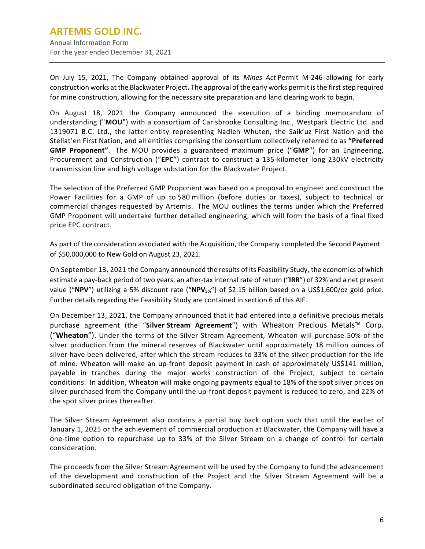## **ARTEMIS GOLD INC.** Annual Information Form

For the year ended December 31, 2021

On July 15, 2021, The Company obtained approval of its *Mines Act* Permit M-246 allowing for early construction works at the Blackwater Project**.** The approval of the early works permit is the first step required for mine construction, allowing for the necessary site preparation and land clearing work to begin.

On August 18, 2021 the Company announced the execution of a binding memorandum of understanding ("**MOU**") with a consortium of Carisbrooke Consulting Inc., Westpark Electric Ltd. and 1319071 B.C. Ltd., the latter entity representing Nadleh Whuten, the Saik'uz First Nation and the Stellat'en First Nation, and all entities comprising the consortium collectively referred to as **"Preferred GMP Proponent"**. The MOU provides a guaranteed maximum price ("**GMP**") for an Engineering, Procurement and Construction ("**EPC**") contract to construct a 135-kilometer long 230kV electricity transmission line and high voltage substation for the Blackwater Project.

The selection of the Preferred GMP Proponent was based on a proposal to engineer and construct the Power Facilities for a GMP of up to \$80 million (before duties or taxes), subject to technical or commercial changes requested by Artemis. The MOU outlines the terms under which the Preferred GMP Proponent will undertake further detailed engineering, which will form the basis of a final fixed price EPC contract.

As part of the consideration associated with the Acquisition, the Company completed the Second Payment of \$50,000,000 to New Gold on August 23, 2021.

On September 13, 2021 the Company announced the results of its Feasibility Study, the economics of which estimate a pay-back period of two years, an after-tax internal rate of return ("**IRR**") of 32% and a net present value ("**NPV**") utilizing a 5% discount rate ("**NPV5%**") of \$2.15 billion based on a US\$1,600/oz gold price. Further details regarding the Feasibility Study are contained in section 6 of this AIF.

On December 13, 2021, the Company announced that it had entered into a definitive precious metals purchase agreement (the "**Silver Stream Agreement**") with Wheaton Precious Metals™ Corp. ("**Wheaton**"). Under the terms of the Silver Stream Agreement, Wheaton will purchase 50% of the silver production from the mineral reserves of Blackwater until approximately 18 million ounces of silver have been delivered, after which the stream reduces to 33% of the silver production for the life of mine. Wheaton will make an up-front deposit payment in cash of approximately US\$141 million, payable in tranches during the major works construction of the Project, subject to certain conditions. In addition, Wheaton will make ongoing payments equal to 18% of the spot silver prices on silver purchased from the Company until the up-front deposit payment is reduced to zero, and 22% of the spot silver prices thereafter.

The Silver Stream Agreement also contains a partial buy back option such that until the earlier of January 1, 2025 or the achievement of commercial production at Blackwater, the Company will have a one-time option to repurchase up to 33% of the Silver Stream on a change of control for certain consideration.

The proceeds from the Silver Stream Agreement will be used by the Company to fund the advancement of the development and construction of the Project and the Silver Stream Agreement will be a subordinated secured obligation of the Company.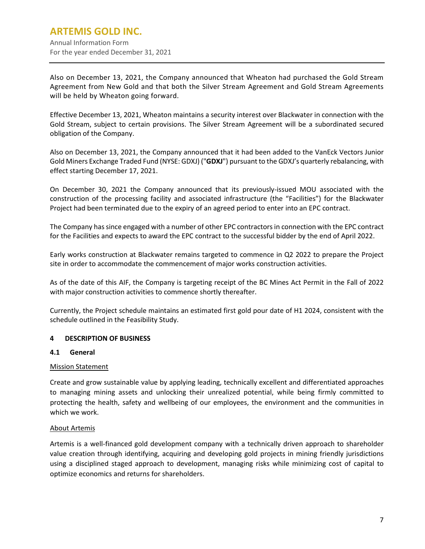Annual Information Form For the year ended December 31, 2021

Also on December 13, 2021, the Company announced that Wheaton had purchased the Gold Stream Agreement from New Gold and that both the Silver Stream Agreement and Gold Stream Agreements will be held by Wheaton going forward.

Effective December 13, 2021, Wheaton maintains a security interest over Blackwater in connection with the Gold Stream, subject to certain provisions. The Silver Stream Agreement will be a subordinated secured obligation of the Company.

Also on December 13, 2021, the Company announced that it had been added to the VanEck Vectors Junior Gold Miners Exchange Traded Fund (NYSE: GDXJ) ("**GDXJ**") pursuant to the GDXJ's quarterly rebalancing, with effect starting December 17, 2021.

On December 30, 2021 the Company announced that its previously-issued MOU associated with the construction of the processing facility and associated infrastructure (the "Facilities") for the Blackwater Project had been terminated due to the expiry of an agreed period to enter into an EPC contract.

The Company has since engaged with a number of other EPC contractors in connection with the EPC contract for the Facilities and expects to award the EPC contract to the successful bidder by the end of April 2022.

Early works construction at Blackwater remains targeted to commence in Q2 2022 to prepare the Project site in order to accommodate the commencement of major works construction activities.

As of the date of this AIF, the Company is targeting receipt of the BC Mines Act Permit in the Fall of 2022 with major construction activities to commence shortly thereafter.

Currently, the Project schedule maintains an estimated first gold pour date of H1 2024, consistent with the schedule outlined in the Feasibility Study.

## <span id="page-9-0"></span>**4 DESCRIPTION OF BUSINESS**

#### <span id="page-9-1"></span>**4.1 General**

#### Mission Statement

Create and grow sustainable value by applying leading, technically excellent and differentiated approaches to managing mining assets and unlocking their unrealized potential, while being firmly committed to protecting the health, safety and wellbeing of our employees, the environment and the communities in which we work.

#### About Artemis

Artemis is a well-financed gold development company with a technically driven approach to shareholder value creation through identifying, acquiring and developing gold projects in mining friendly jurisdictions using a disciplined staged approach to development, managing risks while minimizing cost of capital to optimize economics and returns for shareholders.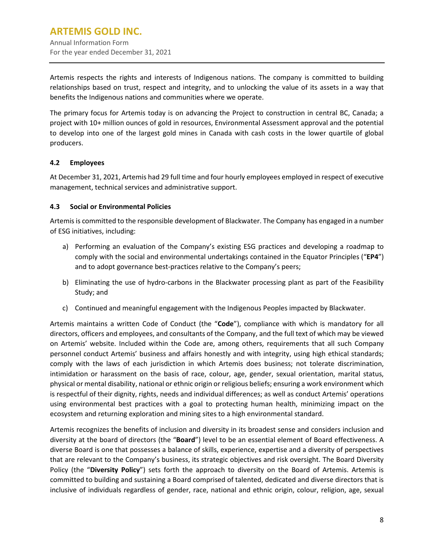Artemis respects the rights and interests of Indigenous nations. The company is committed to building relationships based on trust, respect and integrity, and to unlocking the value of its assets in a way that benefits the Indigenous nations and communities where we operate.

The primary focus for Artemis today is on advancing the Project to construction in central BC, Canada; a project with 10+ million ounces of gold in resources, Environmental Assessment approval and the potential to develop into one of the largest gold mines in Canada with cash costs in the lower quartile of global producers.

## <span id="page-10-0"></span>**4.2 Employees**

At December 31, 2021, Artemis had 29 full time and four hourly employees employed in respect of executive management, technical services and administrative support.

#### <span id="page-10-1"></span>**4.3 Social or Environmental Policies**

Artemis is committed to the responsible development of Blackwater. The Company has engaged in a number of ESG initiatives, including:

- a) Performing an evaluation of the Company's existing ESG practices and developing a roadmap to comply with the social and environmental undertakings contained in the Equator Principles ("**EP4**") and to adopt governance best-practices relative to the Company's peers;
- b) Eliminating the use of hydro-carbons in the Blackwater processing plant as part of the Feasibility Study; and
- c) Continued and meaningful engagement with the Indigenous Peoples impacted by Blackwater.

Artemis maintains a written Code of Conduct (the "**Code**"), compliance with which is mandatory for all directors, officers and employees, and consultants of the Company, and the full text of which may be viewed on Artemis' website. Included within the Code are, among others, requirements that all such Company personnel conduct Artemis' business and affairs honestly and with integrity, using high ethical standards; comply with the laws of each jurisdiction in which Artemis does business; not tolerate discrimination, intimidation or harassment on the basis of race, colour, age, gender, sexual orientation, marital status, physical or mental disability, national or ethnic origin or religious beliefs; ensuring a work environment which is respectful of their dignity, rights, needs and individual differences; as well as conduct Artemis' operations using environmental best practices with a goal to protecting human health, minimizing impact on the ecosystem and returning exploration and mining sites to a high environmental standard.

Artemis recognizes the benefits of inclusion and diversity in its broadest sense and considers inclusion and diversity at the board of directors (the "**Board**") level to be an essential element of Board effectiveness. A diverse Board is one that possesses a balance of skills, experience, expertise and a diversity of perspectives that are relevant to the Company's business, its strategic objectives and risk oversight. The Board Diversity Policy (the "**Diversity Policy**") sets forth the approach to diversity on the Board of Artemis. Artemis is committed to building and sustaining a Board comprised of talented, dedicated and diverse directors that is inclusive of individuals regardless of gender, race, national and ethnic origin, colour, religion, age, sexual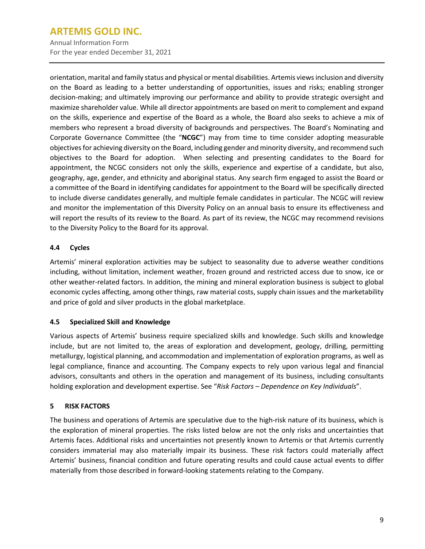Annual Information Form For the year ended December 31, 2021

orientation, marital and family status and physical or mental disabilities. Artemis views inclusion and diversity on the Board as leading to a better understanding of opportunities, issues and risks; enabling stronger decision-making; and ultimately improving our performance and ability to provide strategic oversight and maximize shareholder value. While all director appointments are based on merit to complement and expand on the skills, experience and expertise of the Board as a whole, the Board also seeks to achieve a mix of members who represent a broad diversity of backgrounds and perspectives. The Board's Nominating and Corporate Governance Committee (the "**NCGC**") may from time to time consider adopting measurable objectives for achieving diversity on the Board, including gender and minority diversity, and recommend such objectives to the Board for adoption. When selecting and presenting candidates to the Board for appointment, the NCGC considers not only the skills, experience and expertise of a candidate, but also, geography, age, gender, and ethnicity and aboriginal status. Any search firm engaged to assist the Board or a committee of the Board in identifying candidates for appointment to the Board will be specifically directed to include diverse candidates generally, and multiple female candidates in particular. The NCGC will review and monitor the implementation of this Diversity Policy on an annual basis to ensure its effectiveness and will report the results of its review to the Board. As part of its review, the NCGC may recommend revisions to the Diversity Policy to the Board for its approval.

## <span id="page-11-0"></span>**4.4 Cycles**

Artemis' mineral exploration activities may be subject to seasonality due to adverse weather conditions including, without limitation, inclement weather, frozen ground and restricted access due to snow, ice or other weather-related factors. In addition, the mining and mineral exploration business is subject to global economic cycles affecting, among other things, raw material costs, supply chain issues and the marketability and price of gold and silver products in the global marketplace.

## <span id="page-11-1"></span>**4.5 Specialized Skill and Knowledge**

Various aspects of Artemis' business require specialized skills and knowledge. Such skills and knowledge include, but are not limited to, the areas of exploration and development, geology, drilling, permitting metallurgy, logistical planning, and accommodation and implementation of exploration programs, as well as legal compliance, finance and accounting. The Company expects to rely upon various legal and financial advisors, consultants and others in the operation and management of its business, including consultants holding exploration and development expertise. See "*Risk Factors – Dependence on Key Individuals*".

## <span id="page-11-2"></span>**5 RISK FACTORS**

The business and operations of Artemis are speculative due to the high-risk nature of its business, which is the exploration of mineral properties. The risks listed below are not the only risks and uncertainties that Artemis faces. Additional risks and uncertainties not presently known to Artemis or that Artemis currently considers immaterial may also materially impair its business. These risk factors could materially affect Artemis' business, financial condition and future operating results and could cause actual events to differ materially from those described in forward-looking statements relating to the Company.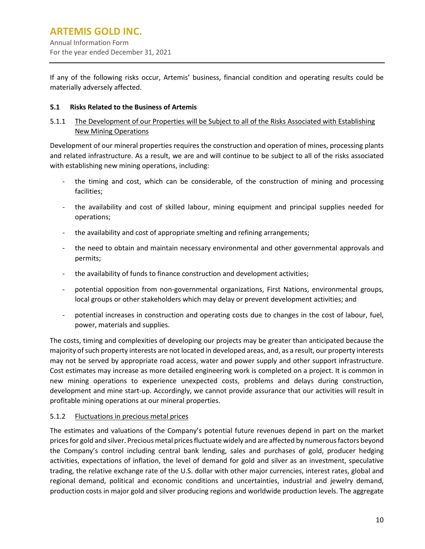If any of the following risks occur, Artemis' business, financial condition and operating results could be materially adversely affected.

## <span id="page-12-0"></span>**5.1 Risks Related to the Business of Artemis**

## 5.1.1 The Development of our Properties will be Subject to all of the Risks Associated with Establishing New Mining Operations

Development of our mineral properties requires the construction and operation of mines, processing plants and related infrastructure. As a result, we are and will continue to be subject to all of the risks associated with establishing new mining operations, including:

- the timing and cost, which can be considerable, of the construction of mining and processing facilities;
- the availability and cost of skilled labour, mining equipment and principal supplies needed for operations;
- the availability and cost of appropriate smelting and refining arrangements;
- the need to obtain and maintain necessary environmental and other governmental approvals and permits;
- the availability of funds to finance construction and development activities;
- potential opposition from non-governmental organizations, First Nations, environmental groups, local groups or other stakeholders which may delay or prevent development activities; and
- potential increases in construction and operating costs due to changes in the cost of labour, fuel, power, materials and supplies.

The costs, timing and complexities of developing our projects may be greater than anticipated because the majority ofsuch property interests are not located in developed areas, and, as a result, our property interests may not be served by appropriate road access, water and power supply and other support infrastructure. Cost estimates may increase as more detailed engineering work is completed on a project. It is common in new mining operations to experience unexpected costs, problems and delays during construction, development and mine start-up. Accordingly, we cannot provide assurance that our activities will result in profitable mining operations at our mineral properties.

## 5.1.2 Fluctuations in precious metal prices

The estimates and valuations of the Company's potential future revenues depend in part on the market pricesfor gold and silver. Precious metal pricesfluctuate widely and are affected by numerousfactors beyond the Company's control including central bank lending, sales and purchases of gold, producer hedging activities, expectations of inflation, the level of demand for gold and silver as an investment, speculative trading, the relative exchange rate of the U.S. dollar with other major currencies, interest rates, global and regional demand, political and economic conditions and uncertainties, industrial and jewelry demand, production costs in major gold and silver producing regions and worldwide production levels. The aggregate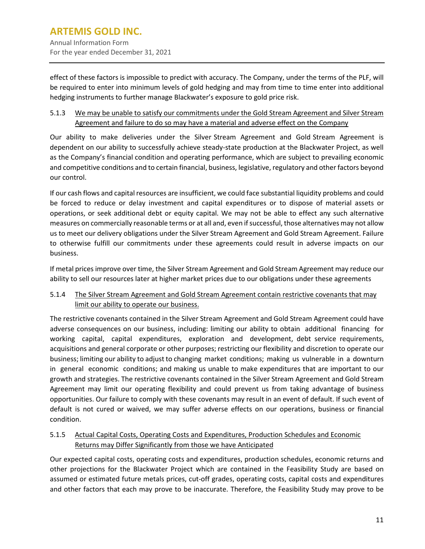effect of these factors is impossible to predict with accuracy. The Company, under the terms of the PLF, will be required to enter into minimum levels of gold hedging and may from time to time enter into additional hedging instruments to further manage Blackwater's exposure to gold price risk.

5.1.3 We may be unable to satisfy our commitments under the Gold Stream Agreement and Silver Stream Agreement and failure to do so may have a material and adverse effect on the Company

Our ability to make deliveries under the Silver Stream Agreement and Gold Stream Agreement is dependent on our ability to successfully achieve steady-state production at the Blackwater Project, as well as the Company's financial condition and operating performance, which are subject to prevailing economic and competitive conditions and to certain financial, business, legislative, regulatory and other factors beyond our control.

If our cash flows and capital resources are insufficient, we could face substantial liquidity problems and could be forced to reduce or delay investment and capital expenditures or to dispose of material assets or operations, or seek additional debt or equity capital. We may not be able to effect any such alternative measures on commercially reasonable terms or at all and, even if successful, those alternatives may not allow us to meet our delivery obligations under the Silver Stream Agreement and Gold Stream Agreement. Failure to otherwise fulfill our commitments under these agreements could result in adverse impacts on our business.

If metal prices improve over time, the Silver Stream Agreement and Gold Stream Agreement may reduce our ability to sell our resources later at higher market prices due to our obligations under these agreements

## 5.1.4 The Silver Stream Agreement and Gold Stream Agreement contain restrictive covenants that may limit our ability to operate our business.

The restrictive covenants contained in the Silver Stream Agreement and Gold Stream Agreement could have adverse consequences on our business, including: limiting our ability to obtain additional financing for working capital, capital expenditures, exploration and development, debt service requirements, acquisitions and general corporate or other purposes; restricting our flexibility and discretion to operate our business; limiting our ability to adjust to changing market conditions; making us vulnerable in a downturn in general economic conditions; and making us unable to make expenditures that are important to our growth and strategies. The restrictive covenants contained in the Silver Stream Agreement and Gold Stream Agreement may limit our operating flexibility and could prevent us from taking advantage of business opportunities. Our failure to comply with these covenants may result in an event of default. If such event of default is not cured or waived, we may suffer adverse effects on our operations, business or financial condition.

## 5.1.5 Actual Capital Costs, Operating Costs and Expenditures, Production Schedules and Economic Returns may Differ Significantly from those we have Anticipated

Our expected capital costs, operating costs and expenditures, production schedules, economic returns and other projections for the Blackwater Project which are contained in the Feasibility Study are based on assumed or estimated future metals prices, cut-off grades, operating costs, capital costs and expenditures and other factors that each may prove to be inaccurate. Therefore, the Feasibility Study may prove to be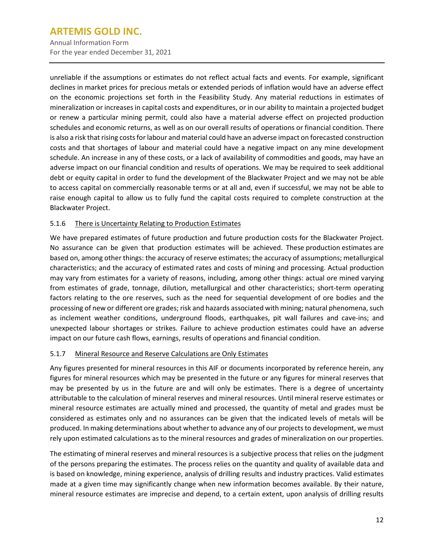Annual Information Form For the year ended December 31, 2021

unreliable if the assumptions or estimates do not reflect actual facts and events. For example, significant declines in market prices for precious metals or extended periods of inflation would have an adverse effect on the economic projections set forth in the Feasibility Study. Any material reductions in estimates of mineralization or increases in capital costs and expenditures, or in our ability to maintain a projected budget or renew a particular mining permit, could also have a material adverse effect on projected production schedules and economic returns, as well as on our overall results of operations or financial condition. There is also a risk that rising costs for labour and material could have an adverse impact on forecasted construction costs and that shortages of labour and material could have a negative impact on any mine development schedule. An increase in any of these costs, or a lack of availability of commodities and goods, may have an adverse impact on our financial condition and results of operations. We may be required to seek additional debt or equity capital in order to fund the development of the Blackwater Project and we may not be able to access capital on commercially reasonable terms or at all and, even if successful, we may not be able to raise enough capital to allow us to fully fund the capital costs required to complete construction at the Blackwater Project.

## 5.1.6 There is Uncertainty Relating to Production Estimates

We have prepared estimates of future production and future production costs for the Blackwater Project. No assurance can be given that production estimates will be achieved. These production estimates are based on, among other things: the accuracy of reserve estimates; the accuracy of assumptions; metallurgical characteristics; and the accuracy of estimated rates and costs of mining and processing. Actual production may vary from estimates for a variety of reasons, including, among other things: actual ore mined varying from estimates of grade, tonnage, dilution, metallurgical and other characteristics; short-term operating factors relating to the ore reserves, such as the need for sequential development of ore bodies and the processing of new or different ore grades; risk and hazards associated with mining; natural phenomena, such as inclement weather conditions, underground floods, earthquakes, pit wall failures and cave-ins; and unexpected labour shortages or strikes. Failure to achieve production estimates could have an adverse impact on our future cash flows, earnings, results of operations and financial condition.

#### 5.1.7 Mineral Resource and Reserve Calculations are Only Estimates

Any figures presented for mineral resources in this AIF or documents incorporated by reference herein, any figures for mineral resources which may be presented in the future or any figures for mineral reserves that may be presented by us in the future are and will only be estimates. There is a degree of uncertainty attributable to the calculation of mineral reserves and mineral resources. Until mineral reserve estimates or mineral resource estimates are actually mined and processed, the quantity of metal and grades must be considered as estimates only and no assurances can be given that the indicated levels of metals will be produced. In making determinations about whether to advance any of our projects to development, we must rely upon estimated calculations as to the mineral resources and grades of mineralization on our properties.

The estimating of mineral reserves and mineral resources is a subjective process that relies on the judgment of the persons preparing the estimates. The process relies on the quantity and quality of available data and is based on knowledge, mining experience, analysis of drilling results and industry practices. Valid estimates made at a given time may significantly change when new information becomes available. By their nature, mineral resource estimates are imprecise and depend, to a certain extent, upon analysis of drilling results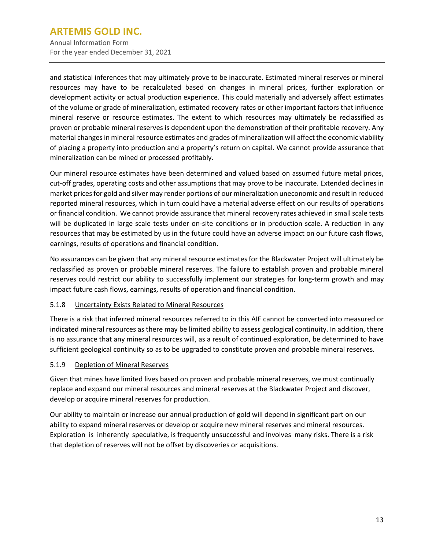Annual Information Form For the year ended December 31, 2021

and statistical inferences that may ultimately prove to be inaccurate. Estimated mineral reserves or mineral resources may have to be recalculated based on changes in mineral prices, further exploration or development activity or actual production experience. This could materially and adversely affect estimates of the volume or grade of mineralization, estimated recovery rates or other important factors that influence mineral reserve or resource estimates. The extent to which resources may ultimately be reclassified as proven or probable mineral reserves is dependent upon the demonstration of their profitable recovery. Any material changes in mineral resource estimates and grades of mineralization will affect the economic viability of placing a property into production and a property's return on capital. We cannot provide assurance that mineralization can be mined or processed profitably.

Our mineral resource estimates have been determined and valued based on assumed future metal prices, cut-off grades, operating costs and other assumptions that may prove to be inaccurate. Extended declines in market pricesfor gold and silver may render portions of our mineralization uneconomic and result in reduced reported mineral resources, which in turn could have a material adverse effect on our results of operations or financial condition. We cannot provide assurance that mineral recovery rates achieved in small scale tests will be duplicated in large scale tests under on-site conditions or in production scale. A reduction in any resources that may be estimated by us in the future could have an adverse impact on our future cash flows, earnings, results of operations and financial condition.

No assurances can be given that any mineral resource estimates for the Blackwater Project will ultimately be reclassified as proven or probable mineral reserves. The failure to establish proven and probable mineral reserves could restrict our ability to successfully implement our strategies for long-term growth and may impact future cash flows, earnings, results of operation and financial condition.

## 5.1.8 Uncertainty Exists Related to Mineral Resources

There is a risk that inferred mineral resources referred to in this AIF cannot be converted into measured or indicated mineral resources as there may be limited ability to assess geological continuity. In addition, there is no assurance that any mineral resources will, as a result of continued exploration, be determined to have sufficient geological continuity so as to be upgraded to constitute proven and probable mineral reserves.

#### 5.1.9 Depletion of Mineral Reserves

Given that mines have limited lives based on proven and probable mineral reserves, we must continually replace and expand our mineral resources and mineral reserves at the Blackwater Project and discover, develop or acquire mineral reserves for production.

Our ability to maintain or increase our annual production of gold will depend in significant part on our ability to expand mineral reserves or develop or acquire new mineral reserves and mineral resources. Exploration is inherently speculative, is frequently unsuccessful and involves many risks. There is a risk that depletion of reserves will not be offset by discoveries or acquisitions.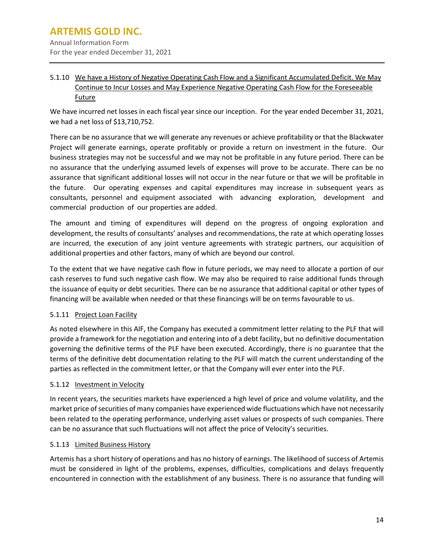## 5.1.10 We have a History of Negative Operating Cash Flow and a Significant Accumulated Deficit. We May Continue to Incur Losses and May Experience Negative Operating Cash Flow for the Foreseeable Future

We have incurred net losses in each fiscal year since our inception. For the year ended December 31, 2021, we had a net loss of \$13,710,752.

There can be no assurance that we will generate any revenues or achieve profitability or that the Blackwater Project will generate earnings, operate profitably or provide a return on investment in the future. Our business strategies may not be successful and we may not be profitable in any future period. There can be no assurance that the underlying assumed levels of expenses will prove to be accurate. There can be no assurance that significant additional losses will not occur in the near future or that we will be profitable in the future. Our operating expenses and capital expenditures may increase in subsequent years as consultants, personnel and equipment associated with advancing exploration, development and commercial production of our properties are added.

The amount and timing of expenditures will depend on the progress of ongoing exploration and development, the results of consultants' analyses and recommendations, the rate at which operating losses are incurred, the execution of any joint venture agreements with strategic partners, our acquisition of additional properties and other factors, many of which are beyond our control.

To the extent that we have negative cash flow in future periods, we may need to allocate a portion of our cash reserves to fund such negative cash flow. We may also be required to raise additional funds through the issuance of equity or debt securities. There can be no assurance that additional capital or other types of financing will be available when needed or that these financings will be on terms favourable to us.

## 5.1.11 Project Loan Facility

As noted elsewhere in this AIF, the Company has executed a commitment letter relating to the PLF that will provide a framework for the negotiation and entering into of a debt facility, but no definitive documentation governing the definitive terms of the PLF have been executed. Accordingly, there is no guarantee that the terms of the definitive debt documentation relating to the PLF will match the current understanding of the parties as reflected in the commitment letter, or that the Company will ever enter into the PLF.

#### 5.1.12 Investment in Velocity

In recent years, the securities markets have experienced a high level of price and volume volatility, and the market price of securities of many companies have experienced wide fluctuations which have not necessarily been related to the operating performance, underlying asset values or prospects of such companies. There can be no assurance that such fluctuations will not affect the price of Velocity's securities.

#### 5.1.13 Limited Business History

Artemis has a short history of operations and has no history of earnings. The likelihood of success of Artemis must be considered in light of the problems, expenses, difficulties, complications and delays frequently encountered in connection with the establishment of any business. There is no assurance that funding will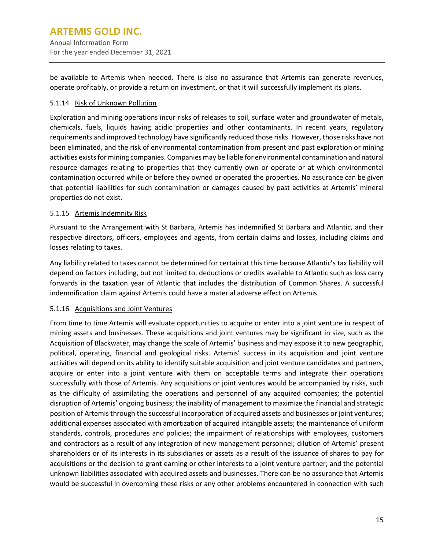be available to Artemis when needed. There is also no assurance that Artemis can generate revenues, operate profitably, or provide a return on investment, or that it will successfully implement its plans.

## 5.1.14 Risk of Unknown Pollution

Exploration and mining operations incur risks of releases to soil, surface water and groundwater of metals, chemicals, fuels, liquids having acidic properties and other contaminants. In recent years, regulatory requirements and improved technology have significantly reduced those risks. However, those risks have not been eliminated, and the risk of environmental contamination from present and past exploration or mining activities exists for mining companies. Companies may be liable for environmental contamination and natural resource damages relating to properties that they currently own or operate or at which environmental contamination occurred while or before they owned or operated the properties. No assurance can be given that potential liabilities for such contamination or damages caused by past activities at Artemis' mineral properties do not exist.

## 5.1.15 Artemis Indemnity Risk

Pursuant to the Arrangement with St Barbara, Artemis has indemnified St Barbara and Atlantic, and their respective directors, officers, employees and agents, from certain claims and losses, including claims and losses relating to taxes.

Any liability related to taxes cannot be determined for certain at this time because Atlantic's tax liability will depend on factors including, but not limited to, deductions or credits available to Atlantic such as loss carry forwards in the taxation year of Atlantic that includes the distribution of Common Shares. A successful indemnification claim against Artemis could have a material adverse effect on Artemis.

#### 5.1.16 Acquisitions and Joint Ventures

From time to time Artemis will evaluate opportunities to acquire or enter into a joint venture in respect of mining assets and businesses. These acquisitions and joint ventures may be significant in size, such as the Acquisition of Blackwater, may change the scale of Artemis' business and may expose it to new geographic, political, operating, financial and geological risks. Artemis' success in its acquisition and joint venture activities will depend on its ability to identify suitable acquisition and joint venture candidates and partners, acquire or enter into a joint venture with them on acceptable terms and integrate their operations successfully with those of Artemis. Any acquisitions or joint ventures would be accompanied by risks, such as the difficulty of assimilating the operations and personnel of any acquired companies; the potential disruption of Artemis' ongoing business; the inability of management to maximize the financial and strategic position of Artemis through the successful incorporation of acquired assets and businesses or joint ventures; additional expenses associated with amortization of acquired intangible assets; the maintenance of uniform standards, controls, procedures and policies; the impairment of relationships with employees, customers and contractors as a result of any integration of new management personnel; dilution of Artemis' present shareholders or of its interests in its subsidiaries or assets as a result of the issuance of shares to pay for acquisitions or the decision to grant earning or other interests to a joint venture partner; and the potential unknown liabilities associated with acquired assets and businesses. There can be no assurance that Artemis would be successful in overcoming these risks or any other problems encountered in connection with such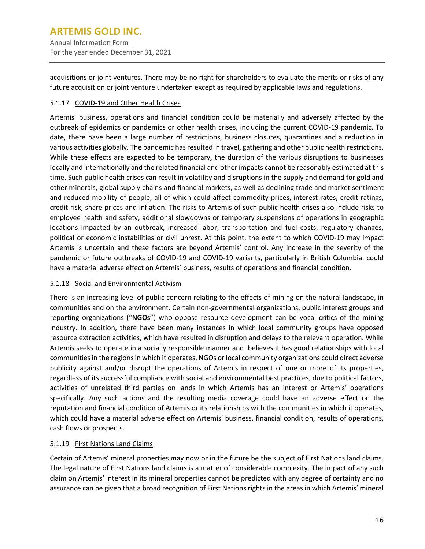acquisitions or joint ventures. There may be no right for shareholders to evaluate the merits or risks of any future acquisition or joint venture undertaken except as required by applicable laws and regulations.

## 5.1.17 COVID-19 and Other Health Crises

Artemis' business, operations and financial condition could be materially and adversely affected by the outbreak of epidemics or pandemics or other health crises, including the current COVID-19 pandemic. To date, there have been a large number of restrictions, business closures, quarantines and a reduction in various activities globally. The pandemic has resulted in travel, gathering and other public health restrictions. While these effects are expected to be temporary, the duration of the various disruptions to businesses locally and internationally and the related financial and other impacts cannot be reasonably estimated at this time. Such public health crises can result in volatility and disruptions in the supply and demand for gold and other minerals, global supply chains and financial markets, as well as declining trade and market sentiment and reduced mobility of people, all of which could affect commodity prices, interest rates, credit ratings, credit risk, share prices and inflation. The risks to Artemis of such public health crises also include risks to employee health and safety, additional slowdowns or temporary suspensions of operations in geographic locations impacted by an outbreak, increased labor, transportation and fuel costs, regulatory changes, political or economic instabilities or civil unrest. At this point, the extent to which COVID-19 may impact Artemis is uncertain and these factors are beyond Artemis' control. Any increase in the severity of the pandemic or future outbreaks of COVID-19 and COVID-19 variants, particularly in British Columbia, could have a material adverse effect on Artemis' business, results of operations and financial condition.

#### 5.1.18 Social and Environmental Activism

There is an increasing level of public concern relating to the effects of mining on the natural landscape, in communities and on the environment. Certain non-governmental organizations, public interest groups and reporting organizations ("**NGOs**") who oppose resource development can be vocal critics of the mining industry. In addition, there have been many instances in which local community groups have opposed resource extraction activities, which have resulted in disruption and delays to the relevant operation. While Artemis seeks to operate in a socially responsible manner and believes it has good relationships with local communities in the regions in which it operates, NGOs or local community organizations could direct adverse publicity against and/or disrupt the operations of Artemis in respect of one or more of its properties, regardless of its successful compliance with social and environmental best practices, due to political factors, activities of unrelated third parties on lands in which Artemis has an interest or Artemis' operations specifically. Any such actions and the resulting media coverage could have an adverse effect on the reputation and financial condition of Artemis or its relationships with the communities in which it operates, which could have a material adverse effect on Artemis' business, financial condition, results of operations, cash flows or prospects.

#### 5.1.19 First Nations Land Claims

Certain of Artemis' mineral properties may now or in the future be the subject of First Nations land claims. The legal nature of First Nations land claims is a matter of considerable complexity. The impact of any such claim on Artemis' interest in its mineral properties cannot be predicted with any degree of certainty and no assurance can be given that a broad recognition of First Nations rights in the areas in which Artemis' mineral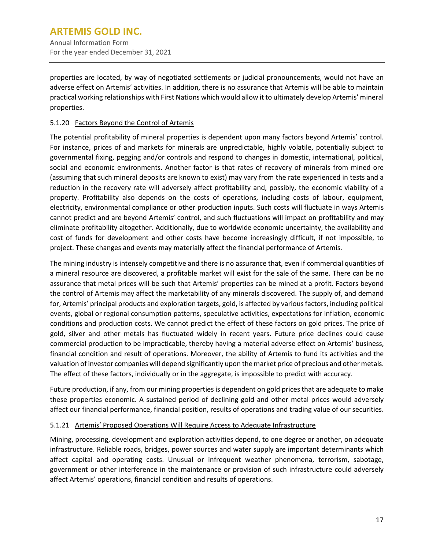properties are located, by way of negotiated settlements or judicial pronouncements, would not have an adverse effect on Artemis' activities. In addition, there is no assurance that Artemis will be able to maintain practical working relationships with First Nations which would allow it to ultimately develop Artemis' mineral properties.

## 5.1.20 Factors Beyond the Control of Artemis

The potential profitability of mineral properties is dependent upon many factors beyond Artemis' control. For instance, prices of and markets for minerals are unpredictable, highly volatile, potentially subject to governmental fixing, pegging and/or controls and respond to changes in domestic, international, political, social and economic environments. Another factor is that rates of recovery of minerals from mined ore (assuming that such mineral deposits are known to exist) may vary from the rate experienced in tests and a reduction in the recovery rate will adversely affect profitability and, possibly, the economic viability of a property. Profitability also depends on the costs of operations, including costs of labour, equipment, electricity, environmental compliance or other production inputs. Such costs will fluctuate in ways Artemis cannot predict and are beyond Artemis' control, and such fluctuations will impact on profitability and may eliminate profitability altogether. Additionally, due to worldwide economic uncertainty, the availability and cost of funds for development and other costs have become increasingly difficult, if not impossible, to project. These changes and events may materially affect the financial performance of Artemis.

The mining industry is intensely competitive and there is no assurance that, even if commercial quantities of a mineral resource are discovered, a profitable market will exist for the sale of the same. There can be no assurance that metal prices will be such that Artemis' properties can be mined at a profit. Factors beyond the control of Artemis may affect the marketability of any minerals discovered. The supply of, and demand for, Artemis' principal products and exploration targets, gold, is affected by variousfactors, including political events, global or regional consumption patterns, speculative activities, expectations for inflation, economic conditions and production costs. We cannot predict the effect of these factors on gold prices. The price of gold, silver and other metals has fluctuated widely in recent years. Future price declines could cause commercial production to be impracticable, thereby having a material adverse effect on Artemis' business, financial condition and result of operations. Moreover, the ability of Artemis to fund its activities and the valuation of investor companies will depend significantly upon the market price of precious and other metals. The effect of these factors, individually or in the aggregate, is impossible to predict with accuracy.

Future production, if any, from our mining properties is dependent on gold prices that are adequate to make these properties economic. A sustained period of declining gold and other metal prices would adversely affect our financial performance, financial position, results of operations and trading value of our securities.

#### 5.1.21 Artemis' Proposed Operations Will Require Access to Adequate Infrastructure

Mining, processing, development and exploration activities depend, to one degree or another, on adequate infrastructure. Reliable roads, bridges, power sources and water supply are important determinants which affect capital and operating costs. Unusual or infrequent weather phenomena, terrorism, sabotage, government or other interference in the maintenance or provision of such infrastructure could adversely affect Artemis' operations, financial condition and results of operations.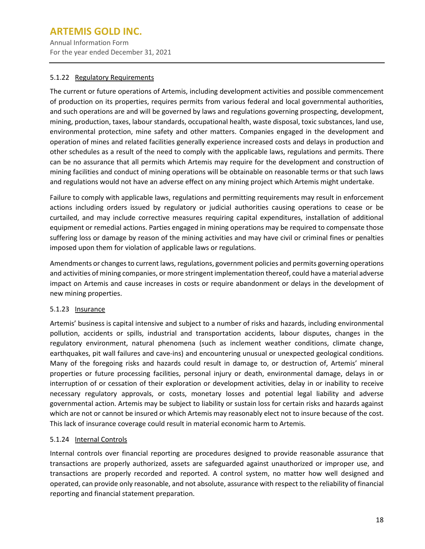Annual Information Form For the year ended December 31, 2021

#### 5.1.22 Regulatory Requirements

The current or future operations of Artemis, including development activities and possible commencement of production on its properties, requires permits from various federal and local governmental authorities, and such operations are and will be governed by laws and regulations governing prospecting, development, mining, production, taxes, labour standards, occupational health, waste disposal, toxic substances, land use, environmental protection, mine safety and other matters. Companies engaged in the development and operation of mines and related facilities generally experience increased costs and delays in production and other schedules as a result of the need to comply with the applicable laws, regulations and permits. There can be no assurance that all permits which Artemis may require for the development and construction of mining facilities and conduct of mining operations will be obtainable on reasonable terms or that such laws and regulations would not have an adverse effect on any mining project which Artemis might undertake.

Failure to comply with applicable laws, regulations and permitting requirements may result in enforcement actions including orders issued by regulatory or judicial authorities causing operations to cease or be curtailed, and may include corrective measures requiring capital expenditures, installation of additional equipment or remedial actions. Parties engaged in mining operations may be required to compensate those suffering loss or damage by reason of the mining activities and may have civil or criminal fines or penalties imposed upon them for violation of applicable laws or regulations.

Amendments or changesto current laws, regulations, government policies and permits governing operations and activities of mining companies, or more stringentimplementation thereof, could have a material adverse impact on Artemis and cause increases in costs or require abandonment or delays in the development of new mining properties.

## 5.1.23 Insurance

Artemis' business is capital intensive and subject to a number of risks and hazards, including environmental pollution, accidents or spills, industrial and transportation accidents, labour disputes, changes in the regulatory environment, natural phenomena (such as inclement weather conditions, climate change, earthquakes, pit wall failures and cave-ins) and encountering unusual or unexpected geological conditions. Many of the foregoing risks and hazards could result in damage to, or destruction of, Artemis' mineral properties or future processing facilities, personal injury or death, environmental damage, delays in or interruption of or cessation of their exploration or development activities, delay in or inability to receive necessary regulatory approvals, or costs, monetary losses and potential legal liability and adverse governmental action. Artemis may be subject to liability or sustain loss for certain risks and hazards against which are not or cannot be insured or which Artemis may reasonably elect not to insure because of the cost. This lack of insurance coverage could result in material economic harm to Artemis.

## 5.1.24 Internal Controls

Internal controls over financial reporting are procedures designed to provide reasonable assurance that transactions are properly authorized, assets are safeguarded against unauthorized or improper use, and transactions are properly recorded and reported. A control system, no matter how well designed and operated, can provide only reasonable, and not absolute, assurance with respect to the reliability of financial reporting and financial statement preparation.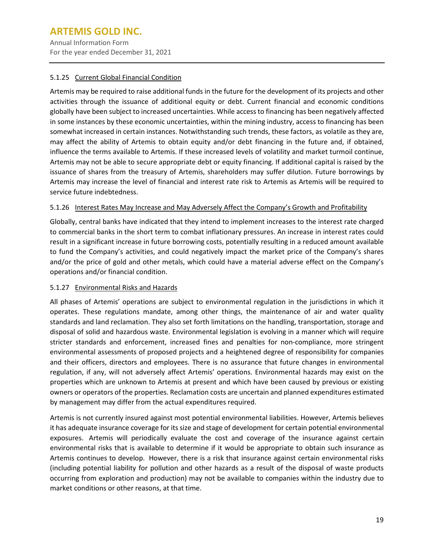Annual Information Form For the year ended December 31, 2021

## 5.1.25 Current Global Financial Condition

Artemis may be required to raise additional funds in the future for the development of its projects and other activities through the issuance of additional equity or debt. Current financial and economic conditions globally have been subject to increased uncertainties. While access to financing has been negatively affected in some instances by these economic uncertainties, within the mining industry, access to financing has been somewhat increased in certain instances. Notwithstanding such trends, these factors, as volatile as they are, may affect the ability of Artemis to obtain equity and/or debt financing in the future and, if obtained, influence the terms available to Artemis. If these increased levels of volatility and market turmoil continue, Artemis may not be able to secure appropriate debt or equity financing. If additional capital is raised by the issuance of shares from the treasury of Artemis, shareholders may suffer dilution. Future borrowings by Artemis may increase the level of financial and interest rate risk to Artemis as Artemis will be required to service future indebtedness.

## 5.1.26 Interest Rates May Increase and May Adversely Affect the Company's Growth and Profitability

Globally, central banks have indicated that they intend to implement increases to the interest rate charged to commercial banks in the short term to combat inflationary pressures. An increase in interest rates could result in a significant increase in future borrowing costs, potentially resulting in a reduced amount available to fund the Company's activities, and could negatively impact the market price of the Company's shares and/or the price of gold and other metals, which could have a material adverse effect on the Company's operations and/or financial condition.

## 5.1.27 Environmental Risks and Hazards

All phases of Artemis' operations are subject to environmental regulation in the jurisdictions in which it operates. These regulations mandate, among other things, the maintenance of air and water quality standards and land reclamation. They also set forth limitations on the handling, transportation, storage and disposal of solid and hazardous waste. Environmental legislation is evolving in a manner which will require stricter standards and enforcement, increased fines and penalties for non-compliance, more stringent environmental assessments of proposed projects and a heightened degree of responsibility for companies and their officers, directors and employees. There is no assurance that future changes in environmental regulation, if any, will not adversely affect Artemis' operations. Environmental hazards may exist on the properties which are unknown to Artemis at present and which have been caused by previous or existing owners or operators of the properties. Reclamation costs are uncertain and planned expenditures estimated by management may differ from the actual expenditures required.

Artemis is not currently insured against most potential environmental liabilities. However, Artemis believes it has adequate insurance coverage for its size and stage of development for certain potential environmental exposures. Artemis will periodically evaluate the cost and coverage of the insurance against certain environmental risks that is available to determine if it would be appropriate to obtain such insurance as Artemis continues to develop. However, there is a risk that insurance against certain environmental risks (including potential liability for pollution and other hazards as a result of the disposal of waste products occurring from exploration and production) may not be available to companies within the industry due to market conditions or other reasons, at that time.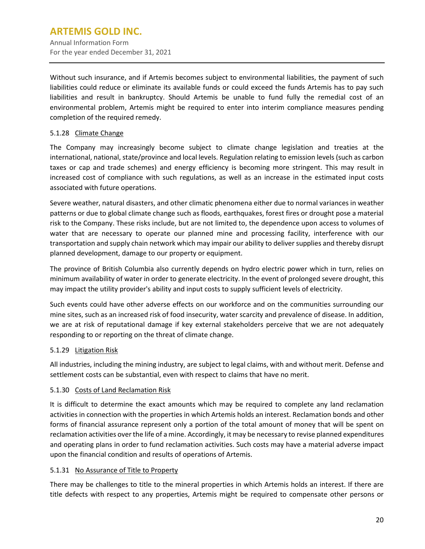Without such insurance, and if Artemis becomes subject to environmental liabilities, the payment of such liabilities could reduce or eliminate its available funds or could exceed the funds Artemis has to pay such liabilities and result in bankruptcy. Should Artemis be unable to fund fully the remedial cost of an environmental problem, Artemis might be required to enter into interim compliance measures pending completion of the required remedy.

## 5.1.28 Climate Change

The Company may increasingly become subject to climate change legislation and treaties at the international, national, state/province and local levels. Regulation relating to emission levels (such as carbon taxes or cap and trade schemes) and energy efficiency is becoming more stringent. This may result in increased cost of compliance with such regulations, as well as an increase in the estimated input costs associated with future operations.

Severe weather, natural disasters, and other climatic phenomena either due to normal variances in weather patterns or due to global climate change such as floods, earthquakes, forest fires or drought pose a material risk to the Company. These risks include, but are not limited to, the dependence upon access to volumes of water that are necessary to operate our planned mine and processing facility, interference with our transportation and supply chain network which may impair our ability to deliver supplies and thereby disrupt planned development, damage to our property or equipment.

The province of British Columbia also currently depends on hydro electric power which in turn, relies on minimum availability of water in order to generate electricity. In the event of prolonged severe drought, this may impact the utility provider's ability and input costs to supply sufficient levels of electricity.

Such events could have other adverse effects on our workforce and on the communities surrounding our mine sites, such as an increased risk of food insecurity, water scarcity and prevalence of disease. In addition, we are at risk of reputational damage if key external stakeholders perceive that we are not adequately responding to or reporting on the threat of climate change.

#### 5.1.29 Litigation Risk

All industries, including the mining industry, are subject to legal claims, with and without merit. Defense and settlement costs can be substantial, even with respect to claims that have no merit.

#### 5.1.30 Costs of Land Reclamation Risk

It is difficult to determine the exact amounts which may be required to complete any land reclamation activities in connection with the properties in which Artemis holds an interest. Reclamation bonds and other forms of financial assurance represent only a portion of the total amount of money that will be spent on reclamation activities overthe life of a mine. Accordingly, it may be necessary to revise planned expenditures and operating plans in order to fund reclamation activities. Such costs may have a material adverse impact upon the financial condition and results of operations of Artemis.

#### 5.1.31 No Assurance of Title to Property

There may be challenges to title to the mineral properties in which Artemis holds an interest. If there are title defects with respect to any properties, Artemis might be required to compensate other persons or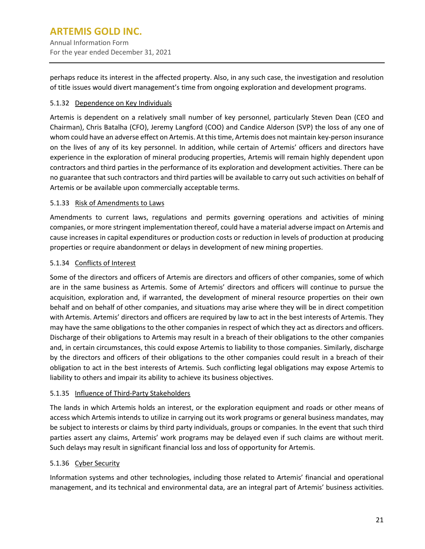perhaps reduce its interest in the affected property. Also, in any such case, the investigation and resolution of title issues would divert management's time from ongoing exploration and development programs.

## 5.1.32 Dependence on Key Individuals

Artemis is dependent on a relatively small number of key personnel, particularly Steven Dean (CEO and Chairman), Chris Batalha (CFO), Jeremy Langford (COO) and Candice Alderson (SVP) the loss of any one of whom could have an adverse effect on Artemis. At thistime, Artemis does not maintain key-person insurance on the lives of any of its key personnel. In addition, while certain of Artemis' officers and directors have experience in the exploration of mineral producing properties, Artemis will remain highly dependent upon contractors and third parties in the performance of its exploration and development activities. There can be no guarantee that such contractors and third parties will be available to carry out such activities on behalf of Artemis or be available upon commercially acceptable terms.

## 5.1.33 Risk of Amendments to Laws

Amendments to current laws, regulations and permits governing operations and activities of mining companies, or more stringent implementation thereof, could have a material adverse impact on Artemis and cause increases in capital expenditures or production costs or reduction in levels of production at producing properties or require abandonment or delays in development of new mining properties.

## 5.1.34 Conflicts of Interest

Some of the directors and officers of Artemis are directors and officers of other companies, some of which are in the same business as Artemis. Some of Artemis' directors and officers will continue to pursue the acquisition, exploration and, if warranted, the development of mineral resource properties on their own behalf and on behalf of other companies, and situations may arise where they will be in direct competition with Artemis. Artemis' directors and officers are required by law to act in the best interests of Artemis. They may have the same obligations to the other companies in respect of which they act as directors and officers. Discharge of their obligations to Artemis may result in a breach of their obligations to the other companies and, in certain circumstances, this could expose Artemis to liability to those companies. Similarly, discharge by the directors and officers of their obligations to the other companies could result in a breach of their obligation to act in the best interests of Artemis. Such conflicting legal obligations may expose Artemis to liability to others and impair its ability to achieve its business objectives.

#### 5.1.35 Influence of Third-Party Stakeholders

The lands in which Artemis holds an interest, or the exploration equipment and roads or other means of access which Artemis intends to utilize in carrying out its work programs or general business mandates, may be subject to interests or claims by third party individuals, groups or companies. In the event that such third parties assert any claims, Artemis' work programs may be delayed even if such claims are without merit. Such delays may result in significant financial loss and loss of opportunity for Artemis.

#### 5.1.36 Cyber Security

Information systems and other technologies, including those related to Artemis' financial and operational management, and its technical and environmental data, are an integral part of Artemis' business activities.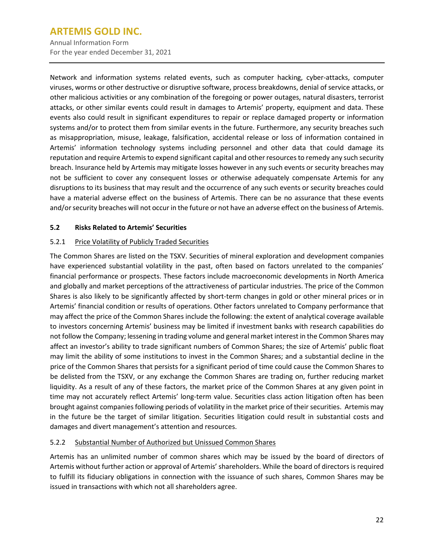Annual Information Form For the year ended December 31, 2021

Network and information systems related events, such as computer hacking, cyber-attacks, computer viruses, worms or other destructive or disruptive software, process breakdowns, denial of service attacks, or other malicious activities or any combination of the foregoing or power outages, natural disasters, terrorist attacks, or other similar events could result in damages to Artemis' property, equipment and data. These events also could result in significant expenditures to repair or replace damaged property or information systems and/or to protect them from similar events in the future. Furthermore, any security breaches such as misappropriation, misuse, leakage, falsification, accidental release or loss of information contained in Artemis' information technology systems including personnel and other data that could damage its reputation and require Artemis to expend significant capital and other resources to remedy any such security breach. Insurance held by Artemis may mitigate losses however in any such events or security breaches may not be sufficient to cover any consequent losses or otherwise adequately compensate Artemis for any disruptions to its business that may result and the occurrence of any such events or security breaches could have a material adverse effect on the business of Artemis. There can be no assurance that these events and/orsecurity breaches will not occur in the future or not have an adverse effect on the business of Artemis.

## <span id="page-24-0"></span>**5.2 Risks Related to Artemis' Securities**

## 5.2.1 Price Volatility of Publicly Traded Securities

The Common Shares are listed on the TSXV. Securities of mineral exploration and development companies have experienced substantial volatility in the past, often based on factors unrelated to the companies' financial performance or prospects. These factors include macroeconomic developments in North America and globally and market perceptions of the attractiveness of particular industries. The price of the Common Shares is also likely to be significantly affected by short-term changes in gold or other mineral prices or in Artemis' financial condition or results of operations. Other factors unrelated to Company performance that may affect the price of the Common Shares include the following: the extent of analytical coverage available to investors concerning Artemis' business may be limited if investment banks with research capabilities do not follow the Company; lessening in trading volume and general market interest in the Common Shares may affect an investor's ability to trade significant numbers of Common Shares; the size of Artemis' public float may limit the ability of some institutions to invest in the Common Shares; and a substantial decline in the price of the Common Shares that persists for a significant period of time could cause the Common Shares to be delisted from the TSXV, or any exchange the Common Shares are trading on, further reducing market liquidity. As a result of any of these factors, the market price of the Common Shares at any given point in time may not accurately reflect Artemis' long-term value. Securities class action litigation often has been brought against companies following periods of volatility in the market price of their securities. Artemis may in the future be the target of similar litigation. Securities litigation could result in substantial costs and damages and divert management's attention and resources.

#### 5.2.2 Substantial Number of Authorized but Unissued Common Shares

Artemis has an unlimited number of common shares which may be issued by the board of directors of Artemis without further action or approval of Artemis' shareholders. While the board of directors is required to fulfill its fiduciary obligations in connection with the issuance of such shares, Common Shares may be issued in transactions with which not all shareholders agree.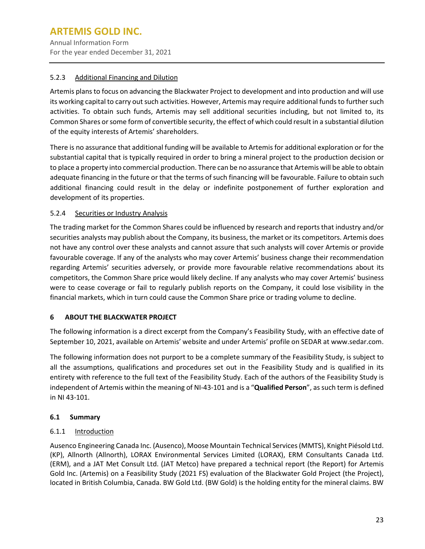## 5.2.3 Additional Financing and Dilution

Artemis plans to focus on advancing the Blackwater Project to development and into production and will use its working capital to carry out such activities. However, Artemis may require additional funds to further such activities. To obtain such funds, Artemis may sell additional securities including, but not limited to, its Common Shares or some form of convertible security, the effect of which could result in a substantial dilution of the equity interests of Artemis' shareholders.

There is no assurance that additional funding will be available to Artemis for additional exploration or for the substantial capital that is typically required in order to bring a mineral project to the production decision or to place a property into commercial production. There can be no assurance that Artemis will be able to obtain adequate financing in the future or that the terms of such financing will be favourable. Failure to obtain such additional financing could result in the delay or indefinite postponement of further exploration and development of its properties.

## 5.2.4 Securities or Industry Analysis

The trading market for the Common Shares could be influenced by research and reports that industry and/or securities analysts may publish about the Company, its business, the market or its competitors. Artemis does not have any control over these analysts and cannot assure that such analysts will cover Artemis or provide favourable coverage. If any of the analysts who may cover Artemis' business change their recommendation regarding Artemis' securities adversely, or provide more favourable relative recommendations about its competitors, the Common Share price would likely decline. If any analysts who may cover Artemis' business were to cease coverage or fail to regularly publish reports on the Company, it could lose visibility in the financial markets, which in turn could cause the Common Share price or trading volume to decline.

#### <span id="page-25-0"></span>**6 ABOUT THE BLACKWATER PROJECT**

The following information is a direct excerpt from the Company's Feasibility Study, with an effective date of September 10, 2021, available on Artemis' website and under Artemis' profile on SEDAR at [www.sedar.com.](https://www.silvercrestmetals.com/outurl.php?url=http://www.sedar.com)

The following information does not purport to be a complete summary of the Feasibility Study, is subject to all the assumptions, qualifications and procedures set out in the Feasibility Study and is qualified in its entirety with reference to the full text of the Feasibility Study. Each of the authors of the Feasibility Study is independent of Artemis within the meaning of NI-43-101 and is a "**Qualified Person**", as such term is defined in NI 43-101.

#### <span id="page-25-1"></span>**6.1 Summary**

#### 6.1.1 Introduction

Ausenco Engineering Canada Inc. (Ausenco), Moose Mountain Technical Services (MMTS), Knight Piésold Ltd. (KP), Allnorth (Allnorth), LORAX Environmental Services Limited (LORAX), ERM Consultants Canada Ltd. (ERM), and a JAT Met Consult Ltd. (JAT Metco) have prepared a technical report (the Report) for Artemis Gold Inc. (Artemis) on a Feasibility Study (2021 FS) evaluation of the Blackwater Gold Project (the Project), located in British Columbia, Canada. BW Gold Ltd. (BW Gold) is the holding entity for the mineral claims. BW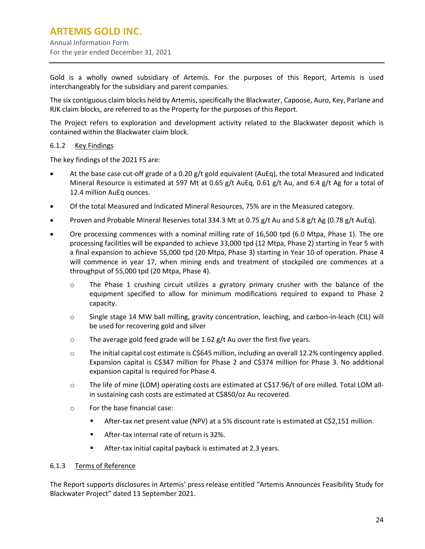Gold is a wholly owned subsidiary of Artemis. For the purposes of this Report, Artemis is used interchangeably for the subsidiary and parent companies.

The six contiguous claim blocks held by Artemis, specifically the Blackwater, Capoose, Auro, Key, Parlane and RJK claim blocks, are referred to as the Property for the purposes of this Report.

The Project refers to exploration and development activity related to the Blackwater deposit which is contained within the Blackwater claim block.

## 6.1.2 Key Findings

The key findings of the 2021 FS are:

- At the base case cut-off grade of a 0.20 g/t gold equivalent (AuEq), the total Measured and Indicated Mineral Resource is estimated at 597 Mt at 0.65 g/t AuEq, 0.61 g/t Au, and 6.4 g/t Ag for a total of 12.4 million AuEq ounces.
- Of the total Measured and Indicated Mineral Resources, 75% are in the Measured category.
- Proven and Probable Mineral Reserves total 334.3 Mt at 0.75 g/t Au and 5.8 g/t Ag (0.78 g/t AuEq).
- Ore processing commences with a nominal milling rate of 16,500 tpd (6.0 Mtpa, Phase 1). The ore processing facilities will be expanded to achieve 33,000 tpd (12 Mtpa, Phase 2) starting in Year 5 with a final expansion to achieve 55,000 tpd (20 Mtpa, Phase 3) starting in Year 10 of operation. Phase 4 will commence in year 17, when mining ends and treatment of stockpiled ore commences at a throughput of 55,000 tpd (20 Mtpa, Phase 4).
	- o The Phase 1 crushing circuit utilizes a gyratory primary crusher with the balance of the equipment specified to allow for minimum modifications required to expand to Phase 2 capacity.
	- o Single stage 14 MW ball milling, gravity concentration, leaching, and carbon-in-leach (CIL) will be used for recovering gold and silver
	- $\circ$  The average gold feed grade will be 1.62 g/t Au over the first five years.
	- $\circ$  The initial capital cost estimate is C\$645 million, including an overall 12.2% contingency applied. Expansion capital is C\$347 million for Phase 2 and C\$374 million for Phase 3. No additional expansion capital is required for Phase 4.
	- o The life of mine (LOM) operating costs are estimated at C\$17.96/t of ore milled. Total LOM allin sustaining cash costs are estimated at C\$850/oz Au recovered.
	- o For the base financial case:
		- After-tax net present value (NPV) at a 5% discount rate is estimated at C\$2,151 million.
		- **After-tax internal rate of return is 32%.**
		- After-tax initial capital payback is estimated at 2.3 years.

#### 6.1.3 Terms of Reference

The Report supports disclosures in Artemis' press release entitled "Artemis Announces Feasibility Study for Blackwater Project" dated 13 September 2021.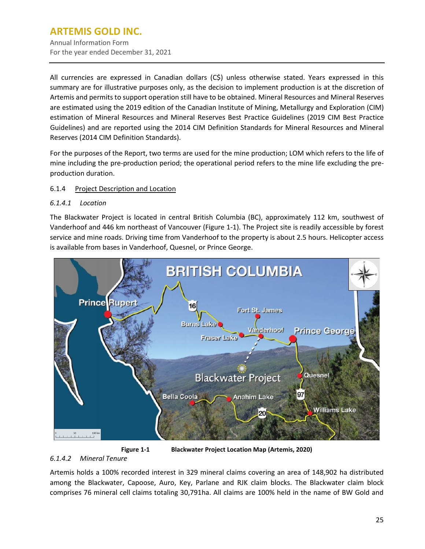Annual Information Form For the year ended December 31, 2021

All currencies are expressed in Canadian dollars (C\$) unless otherwise stated. Years expressed in this summary are for illustrative purposes only, as the decision to implement production is at the discretion of Artemis and permits to support operation still have to be obtained. Mineral Resources and Mineral Reserves are estimated using the 2019 edition of the Canadian Institute of Mining, Metallurgy and Exploration (CIM) estimation of Mineral Resources and Mineral Reserves Best Practice Guidelines (2019 CIM Best Practice Guidelines) and are reported using the 2014 CIM Definition Standards for Mineral Resources and Mineral Reserves (2014 CIM Definition Standards).

For the purposes of the Report, two terms are used for the mine production; LOM which refers to the life of mine including the pre-production period; the operational period refers to the mine life excluding the preproduction duration.

## 6.1.4 Project Description and Location

#### *6.1.4.1 Location*

The Blackwater Project is located in central British Columbia (BC), approximately 112 km, southwest of Vanderhoof and 446 km northeast of Vancouver [\(Figure](#page-27-0) 1-1). The Project site is readily accessible by forest service and mine roads. Driving time from Vanderhoof to the property is about 2.5 hours. Helicopter access is available from bases in Vanderhoof, Quesnel, or Prince George.



**Figure 1-1 Blackwater Project Location Map (Artemis, 2020)**

#### <span id="page-27-0"></span>*6.1.4.2 Mineral Tenure*

Artemis holds a 100% recorded interest in 329 mineral claims covering an area of 148,902 ha distributed among the Blackwater, Capoose, Auro, Key, Parlane and RJK claim blocks. The Blackwater claim block comprises 76 mineral cell claims totaling 30,791ha. All claims are 100% held in the name of BW Gold and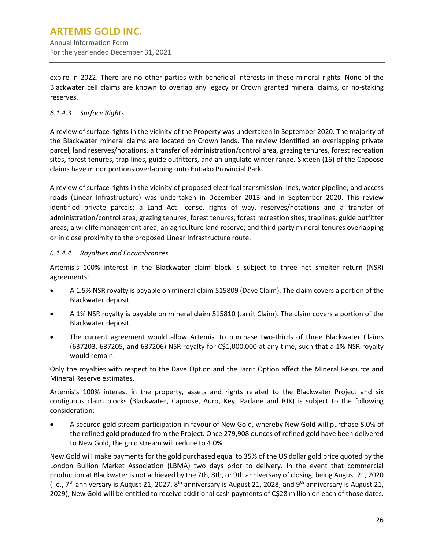expire in 2022. There are no other parties with beneficial interests in these mineral rights. None of the Blackwater cell claims are known to overlap any legacy or Crown granted mineral claims, or no-staking reserves.

## *6.1.4.3 Surface Rights*

A review of surface rights in the vicinity of the Property was undertaken in September 2020. The majority of the Blackwater mineral claims are located on Crown lands. The review identified an overlapping private parcel, land reserves/notations, a transfer of administration/control area, grazing tenures, forest recreation sites, forest tenures, trap lines, guide outfitters, and an ungulate winter range. Sixteen (16) of the Capoose claims have minor portions overlapping onto Entiako Provincial Park.

A review of surface rights in the vicinity of proposed electrical transmission lines, water pipeline, and access roads (Linear Infrastructure) was undertaken in December 2013 and in September 2020. This review identified private parcels; a Land Act license, rights of way, reserves/notations and a transfer of administration/control area; grazing tenures; forest tenures; forest recreation sites; traplines; guide outfitter areas; a wildlife management area; an agriculture land reserve; and third-party mineral tenures overlapping or in close proximity to the proposed Linear Infrastructure route.

## *6.1.4.4 Royalties and Encumbrances*

Artemis's 100% interest in the Blackwater claim block is subject to three net smelter return (NSR) agreements:

- A 1.5% NSR royalty is payable on mineral claim 515809 (Dave Claim). The claim covers a portion of the Blackwater deposit.
- A 1% NSR royalty is payable on mineral claim 515810 (Jarrit Claim). The claim covers a portion of the Blackwater deposit.
- The current agreement would allow Artemis. to purchase two-thirds of three Blackwater Claims (637203, 637205, and 637206) NSR royalty for C\$1,000,000 at any time, such that a 1% NSR royalty would remain.

Only the royalties with respect to the Dave Option and the Jarrit Option affect the Mineral Resource and Mineral Reserve estimates.

Artemis's 100% interest in the property, assets and rights related to the Blackwater Project and six contiguous claim blocks (Blackwater, Capoose, Auro, Key, Parlane and RJK) is subject to the following consideration:

• A secured gold stream participation in favour of New Gold, whereby New Gold will purchase 8.0% of the refined gold produced from the Project. Once 279,908 ounces of refined gold have been delivered to New Gold, the gold stream will reduce to 4.0%.

New Gold will make payments for the gold purchased equal to 35% of the US dollar gold price quoted by the London Bullion Market Association (LBMA) two days prior to delivery. In the event that commercial production at Blackwater is not achieved by the 7th, 8th, or 9th anniversary of closing, being August 21, 2020 (i.e.,  $7<sup>th</sup>$  anniversary is August 21, 2027, 8<sup>th</sup> anniversary is August 21, 2028, and 9<sup>th</sup> anniversary is August 21, 2029), New Gold will be entitled to receive additional cash payments of C\$28 million on each of those dates.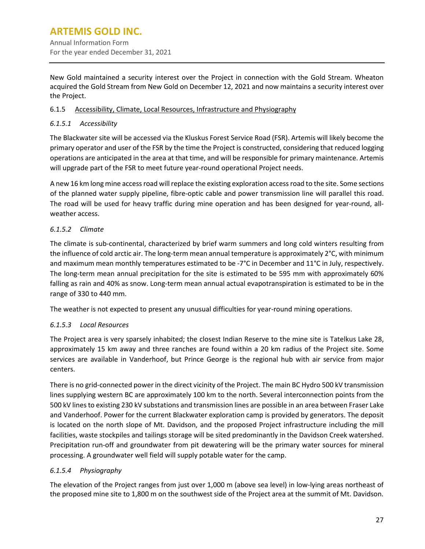New Gold maintained a security interest over the Project in connection with the Gold Stream. Wheaton acquired the Gold Stream from New Gold on December 12, 2021 and now maintains a security interest over the Project.

## 6.1.5 Accessibility, Climate, Local Resources, Infrastructure and Physiography

## *6.1.5.1 Accessibility*

The Blackwater site will be accessed via the Kluskus Forest Service Road (FSR). Artemis will likely become the primary operator and user of the FSR by the time the Project is constructed, considering that reduced logging operations are anticipated in the area at that time, and will be responsible for primary maintenance. Artemis will upgrade part of the FSR to meet future year-round operational Project needs.

A new 16 km long mine access road will replace the existing exploration access road to the site. Some sections of the planned water supply pipeline, fibre-optic cable and power transmission line will parallel this road. The road will be used for heavy traffic during mine operation and has been designed for year-round, allweather access.

## *6.1.5.2 Climate*

The climate is sub-continental, characterized by brief warm summers and long cold winters resulting from the influence of cold arctic air. The long-term mean annual temperature is approximately 2°C, with minimum and maximum mean monthly temperatures estimated to be -7°C in December and 11°C in July, respectively. The long-term mean annual precipitation for the site is estimated to be 595 mm with approximately 60% falling as rain and 40% as snow. Long-term mean annual actual evapotranspiration is estimated to be in the range of 330 to 440 mm.

The weather is not expected to present any unusual difficulties for year-round mining operations.

## *6.1.5.3 Local Resources*

The Project area is very sparsely inhabited; the closest Indian Reserve to the mine site is Tatelkus Lake 28, approximately 15 km away and three ranches are found within a 20 km radius of the Project site. Some services are available in Vanderhoof, but Prince George is the regional hub with air service from major centers.

There is no grid-connected power in the direct vicinity of the Project. The main BC Hydro 500 kV transmission lines supplying western BC are approximately 100 km to the north. Several interconnection points from the 500 kV linesto existing 230 kV substations and transmission lines are possible in an area between Fraser Lake and Vanderhoof. Power for the current Blackwater exploration camp is provided by generators. The deposit is located on the north slope of Mt. Davidson, and the proposed Project infrastructure including the mill facilities, waste stockpiles and tailings storage will be sited predominantly in the Davidson Creek watershed. Precipitation run-off and groundwater from pit dewatering will be the primary water sources for mineral processing. A groundwater well field will supply potable water for the camp.

## *6.1.5.4 Physiography*

The elevation of the Project ranges from just over 1,000 m (above sea level) in low-lying areas northeast of the proposed mine site to 1,800 m on the southwest side of the Project area at the summit of Mt. Davidson.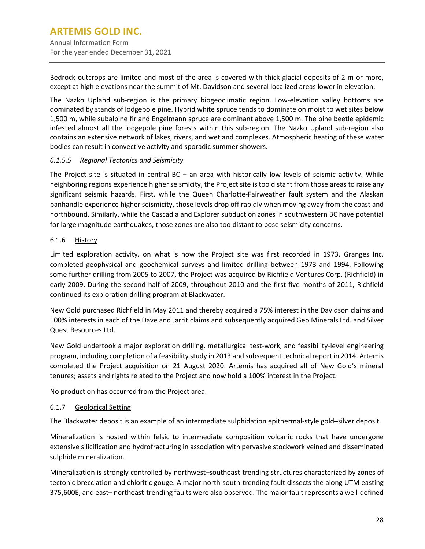Bedrock outcrops are limited and most of the area is covered with thick glacial deposits of 2 m or more, except at high elevations near the summit of Mt. Davidson and several localized areas lower in elevation.

The Nazko Upland sub-region is the primary biogeoclimatic region. Low-elevation valley bottoms are dominated by stands of lodgepole pine. Hybrid white spruce tends to dominate on moist to wet sites below 1,500 m, while subalpine fir and Engelmann spruce are dominant above 1,500 m. The pine beetle epidemic infested almost all the lodgepole pine forests within this sub-region. The Nazko Upland sub-region also contains an extensive network of lakes, rivers, and wetland complexes. Atmospheric heating of these water bodies can result in convective activity and sporadic summer showers.

## *6.1.5.5 Regional Tectonics and Seismicity*

The Project site is situated in central BC – an area with historically low levels of seismic activity. While neighboring regions experience higher seismicity, the Project site is too distant from those areas to raise any significant seismic hazards. First, while the Queen Charlotte-Fairweather fault system and the Alaskan panhandle experience higher seismicity, those levels drop off rapidly when moving away from the coast and northbound. Similarly, while the Cascadia and Explorer subduction zones in southwestern BC have potential for large magnitude earthquakes, those zones are also too distant to pose seismicity concerns.

## 6.1.6 History

Limited exploration activity, on what is now the Project site was first recorded in 1973. Granges Inc. completed geophysical and geochemical surveys and limited drilling between 1973 and 1994. Following some further drilling from 2005 to 2007, the Project was acquired by Richfield Ventures Corp. (Richfield) in early 2009. During the second half of 2009, throughout 2010 and the first five months of 2011, Richfield continued its exploration drilling program at Blackwater.

New Gold purchased Richfield in May 2011 and thereby acquired a 75% interest in the Davidson claims and 100% interests in each of the Dave and Jarrit claims and subsequently acquired Geo Minerals Ltd. and Silver Quest Resources Ltd.

New Gold undertook a major exploration drilling, metallurgical test-work, and feasibility-level engineering program, including completion of a feasibility study in 2013 and subsequent technical report in 2014. Artemis completed the Project acquisition on 21 August 2020. Artemis has acquired all of New Gold's mineral tenures; assets and rights related to the Project and now hold a 100% interest in the Project.

No production has occurred from the Project area.

#### 6.1.7 Geological Setting

The Blackwater deposit is an example of an intermediate sulphidation epithermal-style gold–silver deposit.

Mineralization is hosted within felsic to intermediate composition volcanic rocks that have undergone extensive silicification and hydrofracturing in association with pervasive stockwork veined and disseminated sulphide mineralization.

Mineralization is strongly controlled by northwest–southeast-trending structures characterized by zones of tectonic brecciation and chloritic gouge. A major north-south-trending fault dissects the along UTM easting 375,600E, and east– northeast-trending faults were also observed. The major fault represents a well-defined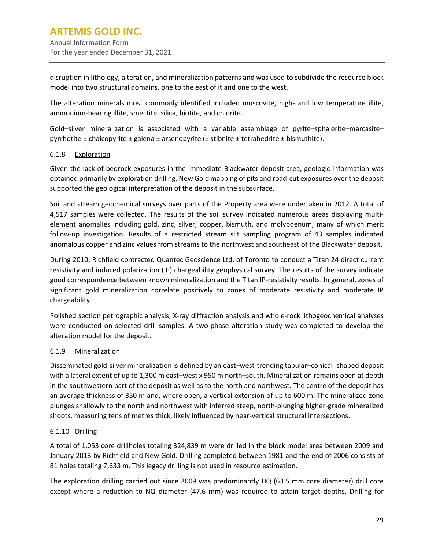disruption in lithology, alteration, and mineralization patterns and was used to subdivide the resource block model into two structural domains, one to the east of it and one to the west.

The alteration minerals most commonly identified included muscovite, high- and low temperature illite, ammonium-bearing illite, smectite, silica, biotite, and chlorite.

Gold–silver mineralization is associated with a variable assemblage of pyrite–sphalerite–marcasite– pyrrhotite ± chalcopyrite ± galena ± arsenopyrite (± stibnite ± tetrahedrite ± bismuthite).

## 6.1.8 Exploration

Given the lack of bedrock exposures in the immediate Blackwater deposit area, geologic information was obtained primarily by exploration drilling. New Gold mapping of pits and road-cut exposures over the deposit supported the geological interpretation of the deposit in the subsurface.

Soil and stream geochemical surveys over parts of the Property area were undertaken in 2012. A total of 4,517 samples were collected. The results of the soil survey indicated numerous areas displaying multielement anomalies including gold, zinc, silver, copper, bismuth, and molybdenum, many of which merit follow-up investigation. Results of a restricted stream silt sampling program of 43 samples indicated anomalous copper and zinc values from streams to the northwest and southeast of the Blackwater deposit.

During 2010, Richfield contracted Quantec Geoscience Ltd. of Toronto to conduct a Titan 24 direct current resistivity and induced polarization (IP) chargeability geophysical survey. The results of the survey indicate good correspondence between known mineralization and the Titan IP-resistivity results. In general, zones of significant gold mineralization correlate positively to zones of moderate resistivity and moderate IP chargeability.

Polished section petrographic analysis, X-ray diffraction analysis and whole-rock lithogeochemical analyses were conducted on selected drill samples. A two-phase alteration study was completed to develop the alteration model for the deposit.

#### 6.1.9 Mineralization

Disseminated gold-silver mineralization is defined by an east–west-trending tabular–conical-shaped deposit with a lateral extent of up to 1,300 m east–west x 950 m north–south. Mineralization remains open at depth in the southwestern part of the deposit as well as to the north and northwest. The centre of the deposit has an average thickness of 350 m and, where open, a vertical extension of up to 600 m. The mineralized zone plunges shallowly to the north and northwest with inferred steep, north-plunging higher-grade mineralized shoots, measuring tens of metres thick, likely influenced by near-vertical structural intersections.

## 6.1.10 Drilling

A total of 1,053 core drillholes totaling 324,839 m were drilled in the block model area between 2009 and January 2013 by Richfield and New Gold. Drilling completed between 1981 and the end of 2006 consists of 81 holes totaling 7,633 m. This legacy drilling is not used in resource estimation.

The exploration drilling carried out since 2009 was predominantly HQ (63.5 mm core diameter) drill core except where a reduction to NQ diameter (47.6 mm) was required to attain target depths. Drilling for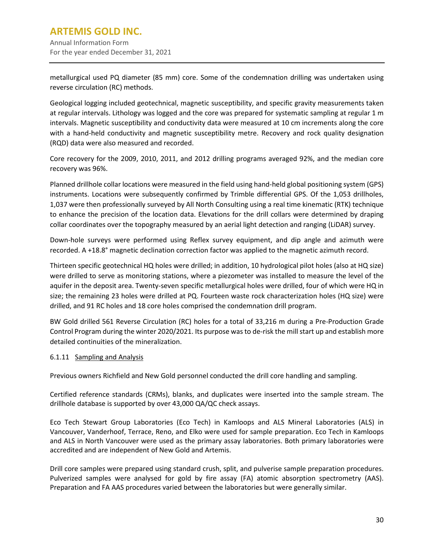metallurgical used PQ diameter (85 mm) core. Some of the condemnation drilling was undertaken using reverse circulation (RC) methods.

Geological logging included geotechnical, magnetic susceptibility, and specific gravity measurements taken at regular intervals. Lithology was logged and the core was prepared for systematic sampling at regular 1 m intervals. Magnetic susceptibility and conductivity data were measured at 10 cm increments along the core with a hand-held conductivity and magnetic susceptibility metre. Recovery and rock quality designation (RQD) data were also measured and recorded.

Core recovery for the 2009, 2010, 2011, and 2012 drilling programs averaged 92%, and the median core recovery was 96%.

Planned drillhole collar locations were measured in the field using hand-held global positioning system (GPS) instruments. Locations were subsequently confirmed by Trimble differential GPS. Of the 1,053 drillholes, 1,037 were then professionally surveyed by All North Consulting using a real time kinematic (RTK) technique to enhance the precision of the location data. Elevations for the drill collars were determined by draping collar coordinates over the topography measured by an aerial light detection and ranging (LiDAR) survey.

Down-hole surveys were performed using Reflex survey equipment, and dip angle and azimuth were recorded. A +18.8° magnetic declination correction factor was applied to the magnetic azimuth record.

Thirteen specific geotechnical HQ holes were drilled; in addition, 10 hydrological pilot holes (also at HQ size) were drilled to serve as monitoring stations, where a piezometer was installed to measure the level of the aquifer in the deposit area. Twenty-seven specific metallurgical holes were drilled, four of which were HQ in size; the remaining 23 holes were drilled at PQ. Fourteen waste rock characterization holes (HQ size) were drilled, and 91 RC holes and 18 core holes comprised the condemnation drill program.

BW Gold drilled 561 Reverse Circulation (RC) holes for a total of 33,216 m during a Pre-Production Grade Control Program during the winter 2020/2021. Its purpose was to de-risk the mill start up and establish more detailed continuities of the mineralization.

## 6.1.11 Sampling and Analysis

Previous owners Richfield and New Gold personnel conducted the drill core handling and sampling.

Certified reference standards (CRMs), blanks, and duplicates were inserted into the sample stream. The drillhole database is supported by over 43,000 QA/QC check assays.

Eco Tech Stewart Group Laboratories (Eco Tech) in Kamloops and ALS Mineral Laboratories (ALS) in Vancouver, Vanderhoof, Terrace, Reno, and Elko were used for sample preparation. Eco Tech in Kamloops and ALS in North Vancouver were used as the primary assay laboratories. Both primary laboratories were accredited and are independent of New Gold and Artemis.

Drill core samples were prepared using standard crush, split, and pulverise sample preparation procedures. Pulverized samples were analysed for gold by fire assay (FA) atomic absorption spectrometry (AAS). Preparation and FA AAS procedures varied between the laboratories but were generally similar.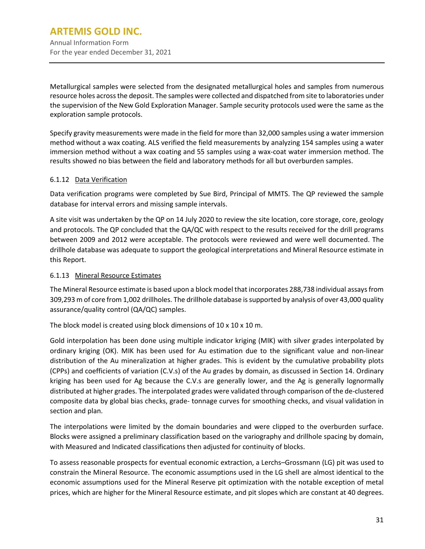Metallurgical samples were selected from the designated metallurgical holes and samples from numerous resource holes across the deposit. The samples were collected and dispatched from site to laboratories under the supervision of the New Gold Exploration Manager. Sample security protocols used were the same as the exploration sample protocols.

Specify gravity measurements were made in the field for more than 32,000 samples using a water immersion method without a wax coating. ALS verified the field measurements by analyzing 154 samples using a water immersion method without a wax coating and 55 samples using a wax-coat water immersion method. The results showed no bias between the field and laboratory methods for all but overburden samples.

## 6.1.12 Data Verification

Data verification programs were completed by Sue Bird, Principal of MMTS. The QP reviewed the sample database for interval errors and missing sample intervals.

A site visit was undertaken by the QP on 14 July 2020 to review the site location, core storage, core, geology and protocols. The QP concluded that the QA/QC with respect to the results received for the drill programs between 2009 and 2012 were acceptable. The protocols were reviewed and were well documented. The drillhole database was adequate to support the geological interpretations and Mineral Resource estimate in this Report.

#### 6.1.13 Mineral Resource Estimates

The Mineral Resource estimate is based upon a block model that incorporates 288,738 individual assays from 309,293 m of core from 1,002 drillholes. The drillhole database is supported by analysis of over 43,000 quality assurance/quality control (QA/QC) samples.

The block model is created using block dimensions of  $10 \times 10 \times 10$  m.

Gold interpolation has been done using multiple indicator kriging (MIK) with silver grades interpolated by ordinary kriging (OK). MIK has been used for Au estimation due to the significant value and non-linear distribution of the Au mineralization at higher grades. This is evident by the cumulative probability plots (CPPs) and coefficients of variation (C.V.s) of the Au grades by domain, as discussed in Section 14. Ordinary kriging has been used for Ag because the C.V.s are generally lower, and the Ag is generally lognormally distributed at higher grades. The interpolated grades were validated through comparison of the de-clustered composite data by global bias checks, grade- tonnage curves for smoothing checks, and visual validation in section and plan.

The interpolations were limited by the domain boundaries and were clipped to the overburden surface. Blocks were assigned a preliminary classification based on the variography and drillhole spacing by domain, with Measured and Indicated classifications then adjusted for continuity of blocks.

To assess reasonable prospects for eventual economic extraction, a Lerchs–Grossmann (LG) pit was used to constrain the Mineral Resource. The economic assumptions used in the LG shell are almost identical to the economic assumptions used for the Mineral Reserve pit optimization with the notable exception of metal prices, which are higher for the Mineral Resource estimate, and pit slopes which are constant at 40 degrees.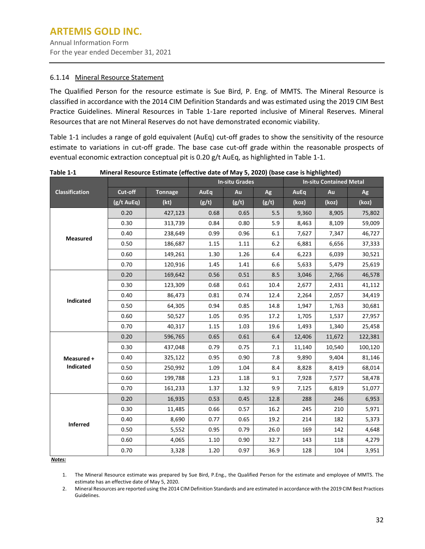#### 6.1.14 Mineral Resource Statement

The Qualified Person for the resource estimate is Sue Bird, P. Eng. of MMTS. The Mineral Resource is classified in accordance with the 2014 CIM Definition Standards and was estimated using the 2019 CIM Best Practice Guidelines. Mineral Resources in Table 1-1are reported inclusive of Mineral Reserves. Mineral Resources that are not Mineral Reserves do not have demonstrated economic viability.

Table 1-1 includes a range of gold equivalent (AuEq) cut-off grades to show the sensitivity of the resource estimate to variations in cut-off grade. The base case cut-off grade within the reasonable prospects of eventual economic extraction conceptual pit is 0.20 g/t AuEq, as highlighted in Table 1-1.

|                       | <b>In-situ Grades</b> |                | <b>In-situ Contained Metal</b> |       |       |        |        |         |
|-----------------------|-----------------------|----------------|--------------------------------|-------|-------|--------|--------|---------|
| <b>Classification</b> | Cut-off               | <b>Tonnage</b> | AuEq                           | Au    | Ag    | AuEq   | Au     | Ag      |
|                       | (g/t AuEq)            | (kt)           | (g/t)                          | (g/t) | (g/t) | (koz)  | (koz)  | (koz)   |
|                       | 0.20                  | 427,123        | 0.68                           | 0.65  | 5.5   | 9,360  | 8,905  | 75,802  |
|                       | 0.30                  | 313,739        | 0.84                           | 0.80  | 5.9   | 8,463  | 8,109  | 59,009  |
| <b>Measured</b>       | 0.40                  | 238,649        | 0.99                           | 0.96  | 6.1   | 7,627  | 7,347  | 46,727  |
|                       | 0.50                  | 186,687        | 1.15                           | 1.11  | 6.2   | 6,881  | 6,656  | 37,333  |
|                       | 0.60                  | 149,261        | 1.30                           | 1.26  | 6.4   | 6,223  | 6,039  | 30,521  |
|                       | 0.70                  | 120,916        | 1.45                           | 1.41  | 6.6   | 5,633  | 5,479  | 25,619  |
|                       | 0.20                  | 169,642        | 0.56                           | 0.51  | 8.5   | 3,046  | 2,766  | 46,578  |
|                       | 0.30                  | 123,309        | 0.68                           | 0.61  | 10.4  | 2,677  | 2,431  | 41,112  |
| Indicated             | 0.40                  | 86,473         | 0.81                           | 0.74  | 12.4  | 2,264  | 2,057  | 34,419  |
|                       | 0.50                  | 64,305         | 0.94                           | 0.85  | 14.8  | 1,947  | 1,763  | 30,681  |
|                       | 0.60                  | 50,527         | 1.05                           | 0.95  | 17.2  | 1,705  | 1,537  | 27,957  |
|                       | 0.70                  | 40,317         | 1.15                           | 1.03  | 19.6  | 1,493  | 1,340  | 25,458  |
|                       | 0.20                  | 596,765        | 0.65                           | 0.61  | 6.4   | 12,406 | 11,672 | 122,381 |
|                       | 0.30                  | 437,048        | 0.79                           | 0.75  | 7.1   | 11,140 | 10,540 | 100,120 |
| Measured +            | 0.40                  | 325,122        | 0.95                           | 0.90  | 7.8   | 9,890  | 9,404  | 81,146  |
| Indicated             | 0.50                  | 250,992        | 1.09                           | 1.04  | 8.4   | 8,828  | 8,419  | 68,014  |
|                       | 0.60                  | 199,788        | 1.23                           | 1.18  | 9.1   | 7,928  | 7,577  | 58,478  |
|                       | 0.70                  | 161,233        | 1.37                           | 1.32  | 9.9   | 7,125  | 6,819  | 51,077  |
|                       | 0.20                  | 16,935         | 0.53                           | 0.45  | 12.8  | 288    | 246    | 6,953   |
|                       | 0.30                  | 11,485         | 0.66                           | 0.57  | 16.2  | 245    | 210    | 5,971   |
| <b>Inferred</b>       | 0.40                  | 8,690          | 0.77                           | 0.65  | 19.2  | 214    | 182    | 5,373   |
|                       | 0.50                  | 5,552          | 0.95                           | 0.79  | 26.0  | 169    | 142    | 4,648   |
|                       | 0.60                  | 4,065          | 1.10                           | 0.90  | 32.7  | 143    | 118    | 4,279   |
| A                     | 0.70                  | 3,328          | 1.20                           | 0.97  | 36.9  | 128    | 104    | 3,951   |

**Table 1-1 Mineral Resource Estimate (effective date of May 5, 2020) (base case is highlighted)**

*Notes:*

1. The Mineral Resource estimate was prepared by Sue Bird, P.Eng., the Qualified Person for the estimate and employee of MMTS. The estimate has an effective date of May 5, 2020.

2. Mineral Resources are reported using the 2014 CIM Definition Standards and are estimated in accordance with the 2019 CIM Best Practices Guidelines.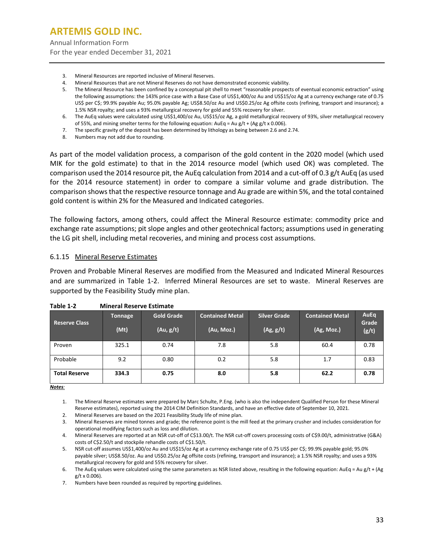- 3. Mineral Resources are reported inclusive of Mineral Reserves.
- 4. Mineral Resources that are not Mineral Reserves do not have demonstrated economic viability.
- 5. The Mineral Resource has been confined by a conceptual pit shell to meet "reasonable prospects of eventual economic extraction" using the following assumptions: the 143% price case with a Base Case of US\$1,400/oz Au and US\$15/oz Ag at a currency exchange rate of 0.75 US\$ per C\$; 99.9% payable Au; 95.0% payable Ag; US\$8.50/oz Au and US\$0.25/oz Ag offsite costs (refining, transport and insurance); a 1.5% NSR royalty; and uses a 93% metallurgical recovery for gold and 55% recovery for silver.
- 6. The AuEq values were calculated using US\$1,400/oz Au, US\$15/oz Ag, a gold metallurgical recovery of 93%, silver metallurgical recovery of 55%, and mining smelter terms for the following equation:  $AuEq = Au g/t + (Ag g/t x 0.006)$ .
- 7. The specific gravity of the deposit has been determined by lithology as being between 2.6 and 2.74.
- 8. Numbers may not add due to rounding.

As part of the model validation process, a comparison of the gold content in the 2020 model (which used MIK for the gold estimate) to that in the 2014 resource model (which used OK) was completed. The comparison used the 2014 resource pit, the AuEq calculation from 2014 and a cut-off of 0.3 g/t AuEq (as used for the 2014 resource statement) in order to compare a similar volume and grade distribution. The comparison showsthat the respective resource tonnage and Au grade are within 5%, and the total contained gold content is within 2% for the Measured and Indicated categories.

The following factors, among others, could affect the Mineral Resource estimate: commodity price and exchange rate assumptions; pit slope angles and other geotechnical factors; assumptions used in generating the LG pit shell, including metal recoveries, and mining and process cost assumptions.

#### 6.1.15 Mineral Reserve Estimates

Proven and Probable Mineral Reserves are modified from the Measured and Indicated Mineral Resources and are summarized in [Table](#page-35-0) 1-2. Inferred Mineral Resources are set to waste. Mineral Reserves are supported by the Feasibility Study mine plan.

| <b>Reserve Class</b> | Tonnage<br>(Mt) | <b>Gold Grade</b><br>(Au, g/t) | <b>Contained Metal</b><br>(Au, Moz.) | <b>Silver Grade</b><br>(Ag, g/t) | <b>Contained Metal</b><br>(Ag, Moz.) | AuEq<br>Grade<br>(g/t) |
|----------------------|-----------------|--------------------------------|--------------------------------------|----------------------------------|--------------------------------------|------------------------|
| Proven               | 325.1           | 0.74                           | 7.8                                  | 5.8                              | 60.4                                 | 0.78                   |
| Probable             | 9.2             | 0.80                           | 0.2                                  | 5.8                              | 1.7                                  | 0.83                   |
| <b>Total Reserve</b> | 334.3           | 0.75                           | 8.0                                  | 5.8                              | 62.2                                 | 0.78                   |

<span id="page-35-0"></span>

*Notes:*

1. The Mineral Reserve estimates were prepared by Marc Schulte, P.Eng. (who is also the independent Qualified Person for these Mineral Reserve estimates), reported using the 2014 CIM Definition Standards, and have an effective date of September 10, 2021.

2. Mineral Reserves are based on the 2021 Feasibility Study life of mine plan.

3. Mineral Reserves are mined tonnes and grade; the reference point is the mill feed at the primary crusher and includes consideration for operational modifying factors such as loss and dilution.

6. The AuEq values were calculated using the same parameters as NSR listed above, resulting in the following equation: AuEq = Au g/t + (Ag g/t x 0.006).

7. Numbers have been rounded as required by reporting guidelines.

<sup>4.</sup> Mineral Reserves are reported at an NSR cut-off of C\$13.00/t. The NSR cut-off covers processing costs of C\$9.00/t, administrative (G&A) costs of C\$2.50/t and stockpile rehandle costs of C\$1.50/t.

<sup>5.</sup> NSR cut-off assumes US\$1,400/oz Au and US\$15/oz Ag at a currency exchange rate of 0.75 US\$ per C\$; 99.9% payable gold; 95.0% payable silver; US\$8.50/oz. Au and US\$0.25/oz Ag offsite costs (refining, transport and insurance); a 1.5% NSR royalty; and uses a 93% metallurgical recovery for gold and 55% recovery for silver.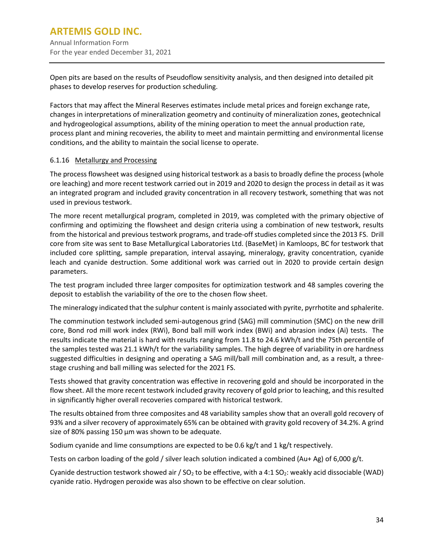Open pits are based on the results of Pseudoflow sensitivity analysis, and then designed into detailed pit phases to develop reserves for production scheduling.

Factors that may affect the Mineral Reserves estimates include metal prices and foreign exchange rate, changes in interpretations of mineralization geometry and continuity of mineralization zones, geotechnical and hydrogeological assumptions, ability of the mining operation to meet the annual production rate, process plant and mining recoveries, the ability to meet and maintain permitting and environmental license conditions, and the ability to maintain the social license to operate.

#### 6.1.16 Metallurgy and Processing

The process flowsheet was designed using historical testwork as a basis to broadly define the process (whole ore leaching) and more recent testwork carried out in 2019 and 2020 to design the process in detail as it was an integrated program and included gravity concentration in all recovery testwork, something that was not used in previous testwork.

The more recent metallurgical program, completed in 2019, was completed with the primary objective of confirming and optimizing the flowsheet and design criteria using a combination of new testwork, results from the historical and previous testwork programs, and trade-off studies completed since the 2013 FS. Drill core from site was sent to Base Metallurgical Laboratories Ltd. (BaseMet) in Kamloops, BC for testwork that included core splitting, sample preparation, interval assaying, mineralogy, gravity concentration, cyanide leach and cyanide destruction. Some additional work was carried out in 2020 to provide certain design parameters.

The test program included three larger composites for optimization testwork and 48 samples covering the deposit to establish the variability of the ore to the chosen flow sheet.

The mineralogy indicated that the sulphur content is mainly associated with pyrite, pyrrhotite and sphalerite.

The comminution testwork included semi-autogenous grind (SAG) mill comminution (SMC) on the new drill core, Bond rod mill work index (RWi), Bond ball mill work index (BWi) and abrasion index (Ai) tests. The results indicate the material is hard with results ranging from 11.8 to 24.6 kWh/t and the 75th percentile of the samples tested was 21.1 kWh/t for the variability samples. The high degree of variability in ore hardness suggested difficulties in designing and operating a SAG mill/ball mill combination and, as a result, a threestage crushing and ball milling was selected for the 2021 FS.

Tests showed that gravity concentration was effective in recovering gold and should be incorporated in the flow sheet. All the more recent testwork included gravity recovery of gold prior to leaching, and this resulted in significantly higher overall recoveries compared with historical testwork.

The results obtained from three composites and 48 variability samples show that an overall gold recovery of 93% and a silver recovery of approximately 65% can be obtained with gravity gold recovery of 34.2%. A grind size of 80% passing 150  $\mu$ m was shown to be adequate.

Sodium cyanide and lime consumptions are expected to be 0.6 kg/t and 1 kg/t respectively.

Tests on carbon loading of the gold / silver leach solution indicated a combined (Au+ Ag) of 6,000 g/t.

Cyanide destruction testwork showed air /  $SO<sub>2</sub>$  to be effective, with a 4:1  $SO<sub>2</sub>$ : weakly acid dissociable (WAD) cyanide ratio. Hydrogen peroxide was also shown to be effective on clear solution.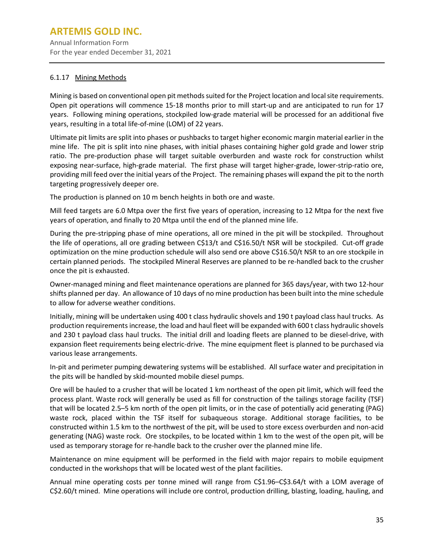Annual Information Form For the year ended December 31, 2021

## 6.1.17 Mining Methods

Mining is based on conventional open pit methods suited for the Project location and local site requirements. Open pit operations will commence 15-18 months prior to mill start-up and are anticipated to run for 17 years. Following mining operations, stockpiled low-grade material will be processed for an additional five years, resulting in a total life-of-mine (LOM) of 22 years.

Ultimate pit limits are split into phases or pushbacks to target higher economic margin material earlier in the mine life. The pit is split into nine phases, with initial phases containing higher gold grade and lower strip ratio. The pre-production phase will target suitable overburden and waste rock for construction whilst exposing near-surface, high-grade material. The first phase will target higher-grade, lower-strip-ratio ore, providing mill feed over the initial years of the Project. The remaining phases will expand the pit to the north targeting progressively deeper ore.

The production is planned on 10 m bench heights in both ore and waste.

Mill feed targets are 6.0 Mtpa over the first five years of operation, increasing to 12 Mtpa for the next five years of operation, and finally to 20 Mtpa until the end of the planned mine life.

During the pre-stripping phase of mine operations, all ore mined in the pit will be stockpiled. Throughout the life of operations, all ore grading between C\$13/t and C\$16.50/t NSR will be stockpiled. Cut-off grade optimization on the mine production schedule will also send ore above C\$16.50/t NSR to an ore stockpile in certain planned periods. The stockpiled Mineral Reserves are planned to be re-handled back to the crusher once the pit is exhausted.

Owner-managed mining and fleet maintenance operations are planned for 365 days/year, with two 12-hour shifts planned per day. An allowance of 10 days of no mine production has been built into the mine schedule to allow for adverse weather conditions.

Initially, mining will be undertaken using 400 t class hydraulic shovels and 190 t payload class haul trucks. As production requirements increase, the load and haul fleet will be expanded with 600 t class hydraulic shovels and 230 t payload class haul trucks. The initial drill and loading fleets are planned to be diesel-drive, with expansion fleet requirements being electric-drive. The mine equipment fleet is planned to be purchased via various lease arrangements.

In-pit and perimeter pumping dewatering systems will be established. All surface water and precipitation in the pits will be handled by skid-mounted mobile diesel pumps.

Ore will be hauled to a crusher that will be located 1 km northeast of the open pit limit, which will feed the process plant. Waste rock will generally be used as fill for construction of the tailings storage facility (TSF) that will be located 2.5–5 km north of the open pit limits, or in the case of potentially acid generating (PAG) waste rock, placed within the TSF itself for subaqueous storage. Additional storage facilities, to be constructed within 1.5 km to the northwest of the pit, will be used to store excess overburden and non-acid generating (NAG) waste rock. Ore stockpiles, to be located within 1 km to the west of the open pit, will be used as temporary storage for re-handle back to the crusher over the planned mine life.

Maintenance on mine equipment will be performed in the field with major repairs to mobile equipment conducted in the workshops that will be located west of the plant facilities.

Annual mine operating costs per tonne mined will range from C\$1.96–C\$3.64/t with a LOM average of C\$2.60/t mined. Mine operations will include ore control, production drilling, blasting, loading, hauling, and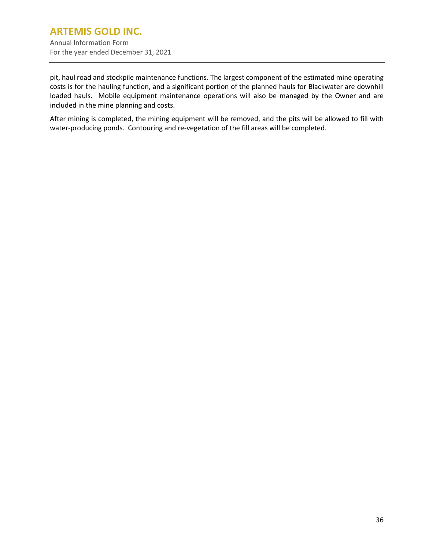pit, haul road and stockpile maintenance functions. The largest component of the estimated mine operating costs is for the hauling function, and a significant portion of the planned hauls for Blackwater are downhill loaded hauls. Mobile equipment maintenance operations will also be managed by the Owner and are included in the mine planning and costs.

After mining is completed, the mining equipment will be removed, and the pits will be allowed to fill with water-producing ponds. Contouring and re-vegetation of the fill areas will be completed.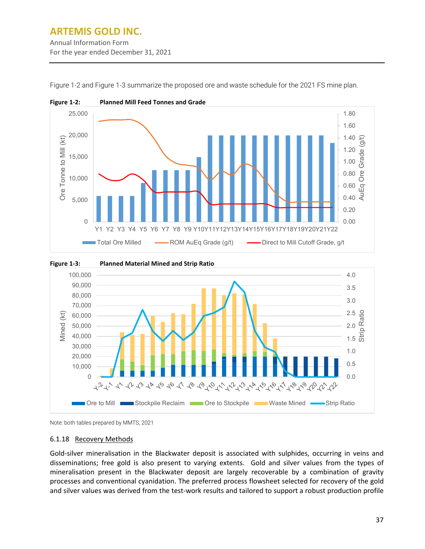## **ARTEMIS GOLD INC.** Annual Information Form For the year ended December 31, 2021



<span id="page-39-0"></span>[Figure 1-2](#page-39-0) and [Figure 1-3](#page-39-1) summarize the proposed ore and waste schedule for the 2021 FS mine plan.

<span id="page-39-1"></span>



#### 6.1.18 Recovery Methods

Gold-silver mineralisation in the Blackwater deposit is associated with sulphides, occurring in veins and disseminations; free gold is also present to varying extents. Gold and silver values from the types of mineralisation present in the Blackwater deposit are largely recoverable by a combination of gravity processes and conventional cyanidation. The preferred process flowsheet selected for recovery of the gold and silver values was derived from the test-work results and tailored to support a robust production profile

Note: both tables prepared by MMTS, 2021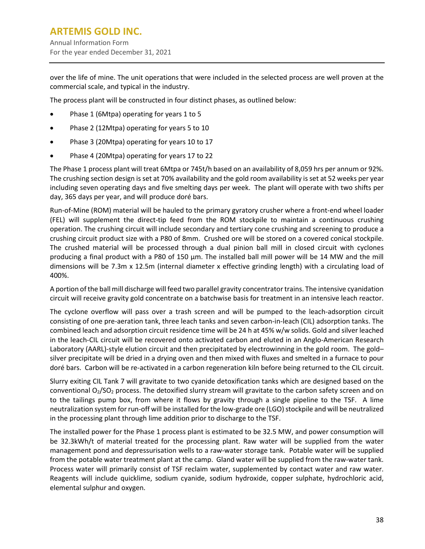over the life of mine. The unit operations that were included in the selected process are well proven at the commercial scale, and typical in the industry.

The process plant will be constructed in four distinct phases, as outlined below:

- Phase 1 (6Mtpa) operating for years 1 to 5
- Phase 2 (12Mtpa) operating for years 5 to 10
- Phase 3 (20Mtpa) operating for years 10 to 17
- Phase 4 (20Mtpa) operating for years 17 to 22

The Phase 1 process plant will treat 6Mtpa or 745t/h based on an availability of 8,059 hrs per annum or 92%. The crushing section design is set at 70% availability and the gold room availability is set at 52 weeks per year including seven operating days and five smelting days per week. The plant will operate with two shifts per day, 365 days per year, and will produce doré bars.

Run-of-Mine (ROM) material will be hauled to the primary gyratory crusher where a front-end wheel loader (FEL) will supplement the direct-tip feed from the ROM stockpile to maintain a continuous crushing operation. The crushing circuit will include secondary and tertiary cone crushing and screening to produce a crushing circuit product size with a P80 of 8mm. Crushed ore will be stored on a covered conical stockpile. The crushed material will be processed through a dual pinion ball mill in closed circuit with cyclones producing a final product with a P80 of 150 μm. The installed ball mill power will be 14 MW and the mill dimensions will be 7.3m x 12.5m (internal diameter x effective grinding length) with a circulating load of 400%.

A portion of the ball mill discharge will feed two parallel gravity concentrator trains. The intensive cyanidation circuit will receive gravity gold concentrate on a batchwise basis for treatment in an intensive leach reactor.

The cyclone overflow will pass over a trash screen and will be pumped to the leach-adsorption circuit consisting of one pre-aeration tank, three leach tanks and seven carbon-in-leach (CIL) adsorption tanks. The combined leach and adsorption circuit residence time will be 24 h at 45% w/w solids. Gold and silver leached in the leach-CIL circuit will be recovered onto activated carbon and eluted in an Anglo-American Research Laboratory (AARL)-style elution circuit and then precipitated by electrowinning in the gold room. The gold– silver precipitate will be dried in a drying oven and then mixed with fluxes and smelted in a furnace to pour doré bars. Carbon will be re-activated in a carbon regeneration kiln before being returned to the CIL circuit.

Slurry exiting CIL Tank 7 will gravitate to two cyanide detoxification tanks which are designed based on the conventional  $O_2/SO_2$  process. The detoxified slurry stream will gravitate to the carbon safety screen and on to the tailings pump box, from where it flows by gravity through a single pipeline to the TSF. A lime neutralization system for run-off will be installed for the low-grade ore (LGO) stockpile and will be neutralized in the processing plant through lime addition prior to discharge to the TSF.

The installed power for the Phase 1 process plant is estimated to be 32.5 MW, and power consumption will be 32.3kWh/t of material treated for the processing plant. Raw water will be supplied from the water management pond and depressurisation wells to a raw-water storage tank. Potable water will be supplied from the potable water treatment plant at the camp. Gland water will be supplied from the raw-water tank. Process water will primarily consist of TSF reclaim water, supplemented by contact water and raw water. Reagents will include quicklime, sodium cyanide, sodium hydroxide, copper sulphate, hydrochloric acid, elemental sulphur and oxygen.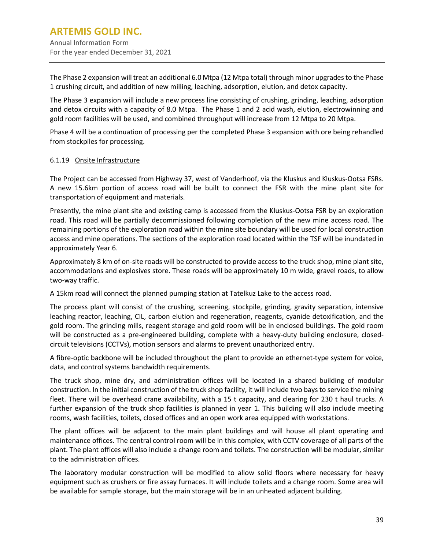The Phase 2 expansion will treat an additional 6.0 Mtpa (12 Mtpa total) through minor upgrades to the Phase 1 crushing circuit, and addition of new milling, leaching, adsorption, elution, and detox capacity.

The Phase 3 expansion will include a new process line consisting of crushing, grinding, leaching, adsorption and detox circuits with a capacity of 8.0 Mtpa. The Phase 1 and 2 acid wash, elution, electrowinning and gold room facilities will be used, and combined throughput will increase from 12 Mtpa to 20 Mtpa.

Phase 4 will be a continuation of processing per the completed Phase 3 expansion with ore being rehandled from stockpiles for processing.

#### 6.1.19 Onsite Infrastructure

The Project can be accessed from Highway 37, west of Vanderhoof, via the Kluskus and Kluskus-Ootsa FSRs. A new 15.6km portion of access road will be built to connect the FSR with the mine plant site for transportation of equipment and materials.

Presently, the mine plant site and existing camp is accessed from the Kluskus-Ootsa FSR by an exploration road. This road will be partially decommissioned following completion of the new mine access road. The remaining portions of the exploration road within the mine site boundary will be used for local construction access and mine operations. The sections of the exploration road located within the TSF will be inundated in approximately Year 6.

Approximately 8 km of on-site roads will be constructed to provide access to the truck shop, mine plant site, accommodations and explosives store. These roads will be approximately 10 m wide, gravel roads, to allow two-way traffic.

A 15km road will connect the planned pumping station at Tatelkuz Lake to the access road.

The process plant will consist of the crushing, screening, stockpile, grinding, gravity separation, intensive leaching reactor, leaching, CIL, carbon elution and regeneration, reagents, cyanide detoxification, and the gold room. The grinding mills, reagent storage and gold room will be in enclosed buildings. The gold room will be constructed as a pre-engineered building, complete with a heavy-duty building enclosure, closedcircuit televisions (CCTVs), motion sensors and alarms to prevent unauthorized entry.

A fibre-optic backbone will be included throughout the plant to provide an ethernet-type system for voice, data, and control systems bandwidth requirements.

The truck shop, mine dry, and administration offices will be located in a shared building of modular construction. In the initial construction of the truck shop facility, it will include two bays to service the mining fleet. There will be overhead crane availability, with a 15 t capacity, and clearing for 230 t haul trucks. A further expansion of the truck shop facilities is planned in year 1. This building will also include meeting rooms, wash facilities, toilets, closed offices and an open work area equipped with workstations.

The plant offices will be adjacent to the main plant buildings and will house all plant operating and maintenance offices. The central control room will be in this complex, with CCTV coverage of all parts of the plant. The plant offices will also include a change room and toilets. The construction will be modular, similar to the administration offices.

The laboratory modular construction will be modified to allow solid floors where necessary for heavy equipment such as crushers or fire assay furnaces. It will include toilets and a change room. Some area will be available for sample storage, but the main storage will be in an unheated adjacent building.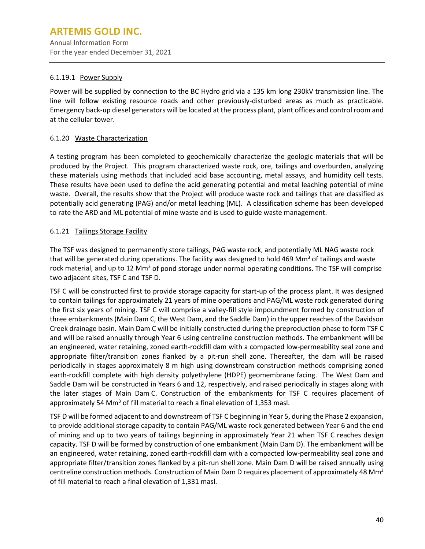#### 6.1.19.1 Power Supply

Power will be supplied by connection to the BC Hydro grid via a 135 km long 230kV transmission line. The line will follow existing resource roads and other previously-disturbed areas as much as practicable. Emergency back-up diesel generators will be located at the process plant, plant offices and control room and at the cellular tower.

## 6.1.20 Waste Characterization

A testing program has been completed to geochemically characterize the geologic materials that will be produced by the Project. This program characterized waste rock, ore, tailings and overburden, analyzing these materials using methods that included acid base accounting, metal assays, and humidity cell tests. These results have been used to define the acid generating potential and metal leaching potential of mine waste. Overall, the results show that the Project will produce waste rock and tailings that are classified as potentially acid generating (PAG) and/or metal leaching (ML). A classification scheme has been developed to rate the ARD and ML potential of mine waste and is used to guide waste management.

## 6.1.21 Tailings Storage Facility

The TSF was designed to permanently store tailings, PAG waste rock, and potentially ML NAG waste rock that will be generated during operations. The facility was designed to hold 469 Mm<sup>3</sup> of tailings and waste rock material, and up to 12 Mm<sup>3</sup> of pond storage under normal operating conditions. The TSF will comprise two adjacent sites, TSF C and TSF D.

TSF C will be constructed first to provide storage capacity for start-up of the process plant. It was designed to contain tailings for approximately 21 years of mine operations and PAG/ML waste rock generated during the first six years of mining. TSF C will comprise a valley-fill style impoundment formed by construction of three embankments (Main Dam C, the West Dam, and the Saddle Dam) in the upper reaches of the Davidson Creek drainage basin. Main Dam C will be initially constructed during the preproduction phase to form TSF C and will be raised annually through Year 6 using centreline construction methods. The embankment will be an engineered, water retaining, zoned earth-rockfill dam with a compacted low-permeability seal zone and appropriate filter/transition zones flanked by a pit-run shell zone. Thereafter, the dam will be raised periodically in stages approximately 8 m high using downstream construction methods comprising zoned earth-rockfill complete with high density polyethylene (HDPE) geomembrane facing. The West Dam and Saddle Dam will be constructed in Years 6 and 12, respectively, and raised periodically in stages along with the later stages of Main Dam C. Construction of the embankments for TSF C requires placement of approximately 54 Mm<sup>3</sup> of fill material to reach a final elevation of 1,353 masl.

TSF D will be formed adjacent to and downstream of TSF C beginning in Year 5, during the Phase 2 expansion, to provide additional storage capacity to contain PAG/ML waste rock generated between Year 6 and the end of mining and up to two years of tailings beginning in approximately Year 21 when TSF C reaches design capacity. TSF D will be formed by construction of one embankment (Main Dam D). The embankment will be an engineered, water retaining, zoned earth-rockfill dam with a compacted low-permeability seal zone and appropriate filter/transition zones flanked by a pit-run shell zone. Main Dam D will be raised annually using centreline construction methods. Construction of Main Dam D requires placement of approximately 48 Mm<sup>3</sup> of fill material to reach a final elevation of 1,331 masl.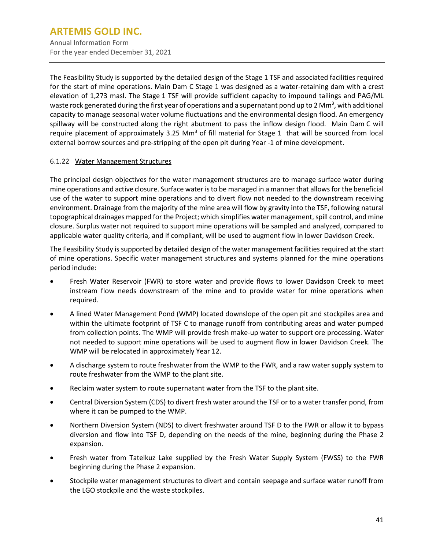Annual Information Form For the year ended December 31, 2021

The Feasibility Study is supported by the detailed design of the Stage 1 TSF and associated facilities required for the start of mine operations. Main Dam C Stage 1 was designed as a water-retaining dam with a crest elevation of 1,273 masl. The Stage 1 TSF will provide sufficient capacity to impound tailings and PAG/ML waste rock generated during the first year of operations and a supernatant pond up to 2 Mm<sup>3</sup>, with additional capacity to manage seasonal water volume fluctuations and the environmental design flood. An emergency spillway will be constructed along the right abutment to pass the inflow design flood. Main Dam C will require placement of approximately 3.25 Mm<sup>3</sup> of fill material for Stage 1 that will be sourced from local external borrow sources and pre-stripping of the open pit during Year -1 of mine development.

## 6.1.22 Water Management Structures

The principal design objectives for the water management structures are to manage surface water during mine operations and active closure. Surface water is to be managed in a manner that allows for the beneficial use of the water to support mine operations and to divert flow not needed to the downstream receiving environment. Drainage from the majority of the mine area will flow by gravity into the TSF, following natural topographical drainages mapped for the Project; which simplifies water management, spill control, and mine closure. Surplus water not required to support mine operations will be sampled and analyzed, compared to applicable water quality criteria, and if compliant, will be used to augment flow in lower Davidson Creek.

The Feasibility Study is supported by detailed design of the water management facilities required at the start of mine operations. Specific water management structures and systems planned for the mine operations period include:

- Fresh Water Reservoir (FWR) to store water and provide flows to lower Davidson Creek to meet instream flow needs downstream of the mine and to provide water for mine operations when required.
- A lined Water Management Pond (WMP) located downslope of the open pit and stockpiles area and within the ultimate footprint of TSF C to manage runoff from contributing areas and water pumped from collection points. The WMP will provide fresh make-up water to support ore processing. Water not needed to support mine operations will be used to augment flow in lower Davidson Creek. The WMP will be relocated in approximately Year 12.
- A discharge system to route freshwater from the WMP to the FWR, and a raw water supply system to route freshwater from the WMP to the plant site.
- Reclaim water system to route supernatant water from the TSF to the plant site.
- Central Diversion System (CDS) to divert fresh water around the TSF or to a water transfer pond, from where it can be pumped to the WMP.
- Northern Diversion System (NDS) to divert freshwater around TSF D to the FWR or allow it to bypass diversion and flow into TSF D, depending on the needs of the mine, beginning during the Phase 2 expansion.
- Fresh water from Tatelkuz Lake supplied by the Fresh Water Supply System (FWSS) to the FWR beginning during the Phase 2 expansion.
- Stockpile water management structures to divert and contain seepage and surface water runoff from the LGO stockpile and the waste stockpiles.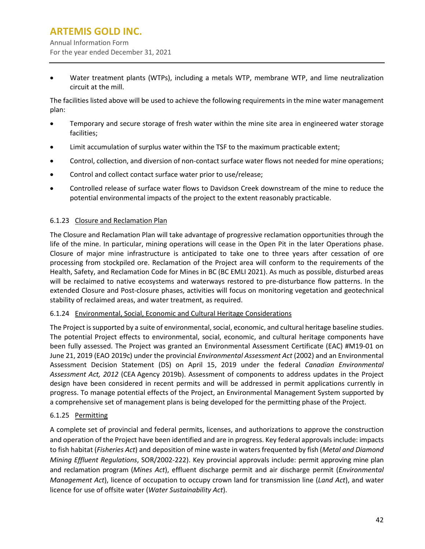Annual Information Form For the year ended December 31, 2021

• Water treatment plants (WTPs), including a metals WTP, membrane WTP, and lime neutralization circuit at the mill.

The facilities listed above will be used to achieve the following requirements in the mine water management plan:

- Temporary and secure storage of fresh water within the mine site area in engineered water storage facilities;
- Limit accumulation of surplus water within the TSF to the maximum practicable extent;
- Control, collection, and diversion of non-contact surface water flows not needed for mine operations;
- Control and collect contact surface water prior to use/release;
- Controlled release of surface water flows to Davidson Creek downstream of the mine to reduce the potential environmental impacts of the project to the extent reasonably practicable.

## 6.1.23 Closure and Reclamation Plan

The Closure and Reclamation Plan will take advantage of progressive reclamation opportunities through the life of the mine. In particular, mining operations will cease in the Open Pit in the later Operations phase. Closure of major mine infrastructure is anticipated to take one to three years after cessation of ore processing from stockpiled ore. Reclamation of the Project area will conform to the requirements of the Health, Safety, and Reclamation Code for Mines in BC (BC EMLI 2021). As much as possible, disturbed areas will be reclaimed to native ecosystems and waterways restored to pre-disturbance flow patterns. In the extended Closure and Post-closure phases, activities will focus on monitoring vegetation and geotechnical stability of reclaimed areas, and water treatment, as required.

#### 6.1.24 Environmental, Social, Economic and Cultural Heritage Considerations

The Project is supported by a suite of environmental, social, economic, and cultural heritage baseline studies. The potential Project effects to environmental, social, economic, and cultural heritage components have been fully assessed. The Project was granted an Environmental Assessment Certificate (EAC) #M19-01 on June 21, 2019 (EAO 2019c) under the provincial *Environmental Assessment Act* (2002) and an Environmental Assessment Decision Statement (DS) on April 15, 2019 under the federal *Canadian Environmental Assessment Act, 2012* (CEA Agency 2019b). Assessment of components to address updates in the Project design have been considered in recent permits and will be addressed in permit applications currently in progress. To manage potential effects of the Project, an Environmental Management System supported by a comprehensive set of management plans is being developed for the permitting phase of the Project.

## 6.1.25 Permitting

A complete set of provincial and federal permits, licenses, and authorizations to approve the construction and operation of the Project have been identified and are in progress. Key federal approvals include: impacts to fish habitat (*Fisheries Act*) and deposition of mine waste in waters frequented by fish (*Metal and Diamond Mining Effluent Regulations*, SOR/2002-222). Key provincial approvals include: permit approving mine plan and reclamation program (*Mines Act*), effluent discharge permit and air discharge permit (*Environmental Management Act*), licence of occupation to occupy crown land for transmission line (*Land Act*), and water licence for use of offsite water (*Water Sustainability Act*).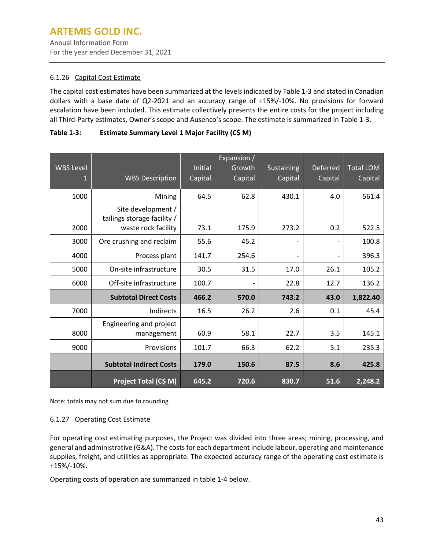Annual Information Form For the year ended December 31, 2021

## 6.1.26 Capital Cost Estimate

The capital cost estimates have been summarized at the levels indicated b[y Table 1-3](#page-45-0) and stated in Canadian dollars with a base date of Q2-2021 and an accuracy range of +15%/-10%. No provisions for forward escalation have been included. This estimate collectively presents the entire costs for the project including all Third-Party estimates, Owner's scope and Ausenco's scope. The estimate is summarized in [Table 1-3.](#page-45-0)

## <span id="page-45-0"></span>**Table 1-3: Estimate Summary Level 1 Major Facility (C\$ M)**

| <b>WBS Level</b><br>Ú | <b>WBS Description</b>                                                   | Initial<br>Capital | Expansion /<br>Growth<br>Capital | Sustaining<br>Capital | Deferred<br>Capital | <b>Total LOM</b><br>Capital |
|-----------------------|--------------------------------------------------------------------------|--------------------|----------------------------------|-----------------------|---------------------|-----------------------------|
| 1000                  | Mining                                                                   | 64.5               | 62.8                             | 430.1                 | 4.0                 | 561.4                       |
| 2000                  | Site development /<br>tailings storage facility /<br>waste rock facility | 73.1               | 175.9                            | 273.2                 | 0.2                 | 522.5                       |
| 3000                  | Ore crushing and reclaim                                                 | 55.6               | 45.2                             |                       |                     | 100.8                       |
| 4000                  | Process plant                                                            | 141.7              | 254.6                            | $\overline{a}$        |                     | 396.3                       |
| 5000                  | On-site infrastructure                                                   | 30.5               | 31.5                             | 17.0                  | 26.1                | 105.2                       |
| 6000                  | Off-site infrastructure                                                  | 100.7              |                                  | 22.8                  | 12.7                | 136.2                       |
|                       | <b>Subtotal Direct Costs</b>                                             | 466.2              | 570.0                            | 743.2                 | 43.0                | 1,822.40                    |
| 7000                  | Indirects                                                                | 16.5               | 26.2                             | 2.6                   | 0.1                 | 45.4                        |
| 8000                  | Engineering and project<br>management                                    | 60.9               | 58.1                             | 22.7                  | 3.5                 | 145.1                       |
| 9000                  | Provisions                                                               | 101.7              | 66.3                             | 62.2                  | 5.1                 | 235.3                       |
|                       | <b>Subtotal Indirect Costs</b>                                           | 179.0              | 150.6                            | 87.5                  | 8.6                 | 425.8                       |
|                       | Project Total (C\$ M)                                                    | 645.2              | 720.6                            | 830.7                 | 51.6                | $\sqrt{2,248.2}$            |

Note: totals may not sum due to rounding

#### 6.1.27 Operating Cost Estimate

For operating cost estimating purposes, the Project was divided into three areas; mining, processing, and general and administrative (G&A). The costs for each department include labour, operating and maintenance supplies, freight, and utilities as appropriate. The expected accuracy range of the operating cost estimate is +15%/-10%.

Operating costs of operation are summarized in table 1-4 below.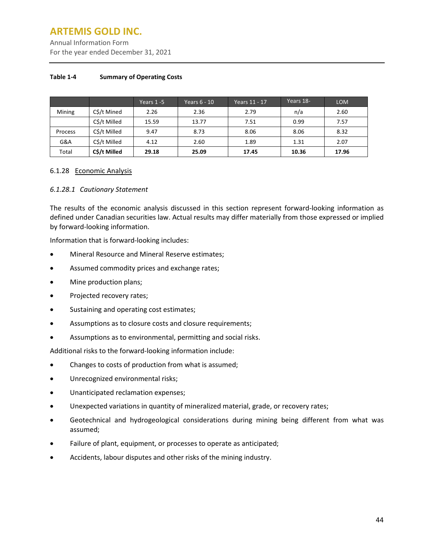Annual Information Form For the year ended December 31, 2021

#### **Table 1-4 Summary of Operating Costs**

|         |              | Years 1-5 | Years 6 - 10 | Years 11 - 17 | Years 18- | <b>LOM</b> |
|---------|--------------|-----------|--------------|---------------|-----------|------------|
| Mining  | C\$/t Mined  | 2.26      | 2.36         | 2.79          | n/a       | 2.60       |
|         | C\$/t Milled | 15.59     | 13.77        | 7.51          | 0.99      | 7.57       |
| Process | C\$/t Milled | 9.47      | 8.73         | 8.06          | 8.06      | 8.32       |
| G&A     | C\$/t Milled | 4.12      | 2.60         | 1.89          | 1.31      | 2.07       |
| Total   | C\$/t Milled | 29.18     | 25.09        | 17.45         | 10.36     | 17.96      |

#### 6.1.28 Economic Analysis

#### *6.1.28.1 Cautionary Statement*

The results of the economic analysis discussed in this section represent forward-looking information as defined under Canadian securities law. Actual results may differ materially from those expressed or implied by forward-looking information.

Information that is forward-looking includes:

- Mineral Resource and Mineral Reserve estimates;
- Assumed commodity prices and exchange rates;
- Mine production plans;
- Projected recovery rates;
- Sustaining and operating cost estimates;
- Assumptions as to closure costs and closure requirements;
- Assumptions as to environmental, permitting and social risks.

Additional risks to the forward-looking information include:

- Changes to costs of production from what is assumed;
- Unrecognized environmental risks;
- Unanticipated reclamation expenses;
- Unexpected variations in quantity of mineralized material, grade, or recovery rates;
- Geotechnical and hydrogeological considerations during mining being different from what was assumed;
- Failure of plant, equipment, or processes to operate as anticipated;
- Accidents, labour disputes and other risks of the mining industry.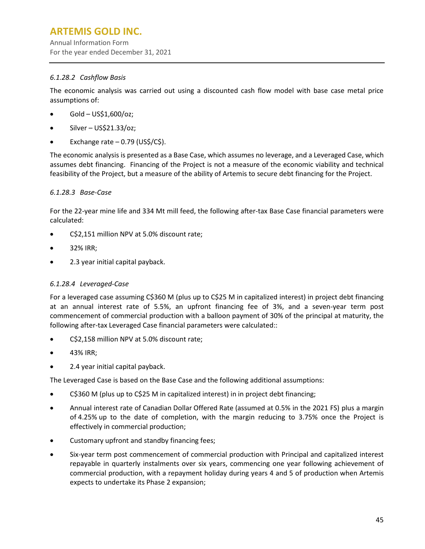Annual Information Form For the year ended December 31, 2021

## *6.1.28.2 Cashflow Basis*

The economic analysis was carried out using a discounted cash flow model with base case metal price assumptions of:

- Gold US\$1,600/oz;
- Silver US\$21.33/oz;
- Exchange rate  $-0.79$  (US\$/C\$).

The economic analysis is presented as a Base Case, which assumes no leverage, and a Leveraged Case, which assumes debt financing. Financing of the Project is not a measure of the economic viability and technical feasibility of the Project, but a measure of the ability of Artemis to secure debt financing for the Project.

## *6.1.28.3 Base-Case*

For the 22-year mine life and 334 Mt mill feed, the following after-tax Base Case financial parameters were calculated:

- C\$2,151 million NPV at 5.0% discount rate;
- 32% IRR;
- 2.3 year initial capital payback.

## *6.1.28.4 Leveraged-Case*

For a leveraged case assuming C\$360 M (plus up to C\$25 M in capitalized interest) in project debt financing at an annual interest rate of 5.5%, an upfront financing fee of 3%, and a seven-year term post commencement of commercial production with a balloon payment of 30% of the principal at maturity, the following after-tax Leveraged Case financial parameters were calculated::

- C\$2,158 million NPV at 5.0% discount rate;
- 43% IRR;
- 2.4 year initial capital payback.

The Leveraged Case is based on the Base Case and the following additional assumptions:

- C\$360 M (plus up to C\$25 M in capitalized interest) in in project debt financing;
- Annual interest rate of Canadian Dollar Offered Rate (assumed at 0.5% in the 2021 FS) plus a margin of 4.25% up to the date of completion, with the margin reducing to 3.75% once the Project is effectively in commercial production;
- Customary upfront and standby financing fees;
- Six-year term post commencement of commercial production with Principal and capitalized interest repayable in quarterly instalments over six years, commencing one year following achievement of commercial production, with a repayment holiday during years 4 and 5 of production when Artemis expects to undertake its Phase 2 expansion;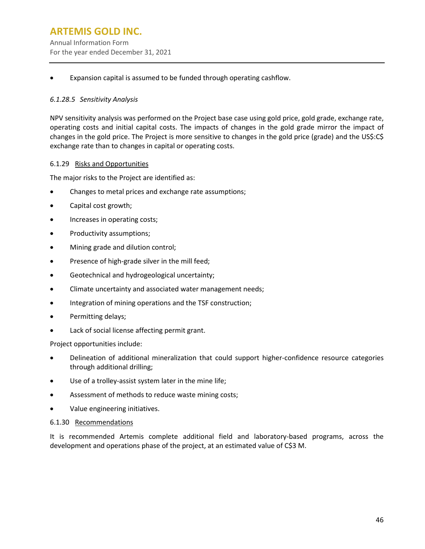## **ARTEMIS GOLD INC.** Annual Information Form For the year ended December 31, 2021

• Expansion capital is assumed to be funded through operating cashflow.

#### *6.1.28.5 Sensitivity Analysis*

NPV sensitivity analysis was performed on the Project base case using gold price, gold grade, exchange rate, operating costs and initial capital costs. The impacts of changes in the gold grade mirror the impact of changes in the gold price. The Project is more sensitive to changes in the gold price (grade) and the US\$:C\$ exchange rate than to changes in capital or operating costs.

#### 6.1.29 Risks and Opportunities

The major risks to the Project are identified as:

- Changes to metal prices and exchange rate assumptions;
- Capital cost growth;
- Increases in operating costs;
- Productivity assumptions;
- Mining grade and dilution control;
- Presence of high-grade silver in the mill feed;
- Geotechnical and hydrogeological uncertainty;
- Climate uncertainty and associated water management needs;
- Integration of mining operations and the TSF construction;
- Permitting delays;
- Lack of social license affecting permit grant.

Project opportunities include:

- Delineation of additional mineralization that could support higher-confidence resource categories through additional drilling;
- Use of a trolley-assist system later in the mine life;
- Assessment of methods to reduce waste mining costs;
- Value engineering initiatives.

#### 6.1.30 Recommendations

It is recommended Artemis complete additional field and laboratory-based programs, across the development and operations phase of the project, at an estimated value of C\$3 M.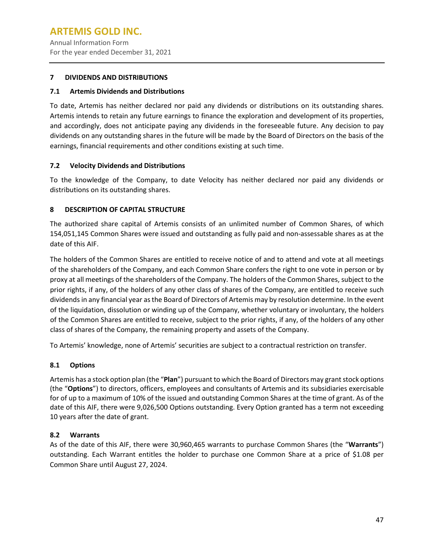Annual Information Form For the year ended December 31, 2021

#### <span id="page-49-0"></span>**7 DIVIDENDS AND DISTRIBUTIONS**

#### <span id="page-49-1"></span>**7.1 Artemis Dividends and Distributions**

To date, Artemis has neither declared nor paid any dividends or distributions on its outstanding shares. Artemis intends to retain any future earnings to finance the exploration and development of its properties, and accordingly, does not anticipate paying any dividends in the foreseeable future. Any decision to pay dividends on any outstanding shares in the future will be made by the Board of Directors on the basis of the earnings, financial requirements and other conditions existing at such time.

## <span id="page-49-2"></span>**7.2 Velocity Dividends and Distributions**

To the knowledge of the Company, to date Velocity has neither declared nor paid any dividends or distributions on its outstanding shares.

## <span id="page-49-3"></span>**8 DESCRIPTION OF CAPITAL STRUCTURE**

The authorized share capital of Artemis consists of an unlimited number of Common Shares, of which 154,051,145 Common Shares were issued and outstanding as fully paid and non-assessable shares as at the date of this AIF.

The holders of the Common Shares are entitled to receive notice of and to attend and vote at all meetings of the shareholders of the Company, and each Common Share confers the right to one vote in person or by proxy at all meetings of the shareholders of the Company. The holders of the Common Shares, subject to the prior rights, if any, of the holders of any other class of shares of the Company, are entitled to receive such dividends in any financial year asthe Board of Directors of Artemis may by resolution determine. In the event of the liquidation, dissolution or winding up of the Company, whether voluntary or involuntary, the holders of the Common Shares are entitled to receive, subject to the prior rights, if any, of the holders of any other class of shares of the Company, the remaining property and assets of the Company.

To Artemis' knowledge, none of Artemis' securities are subject to a contractual restriction on transfer.

## <span id="page-49-4"></span>**8.1 Options**

Artemis has a stock option plan (the "Plan") pursuant to which the Board of Directors may grant stock options (the "**Options**") to directors, officers, employees and consultants of Artemis and its subsidiaries exercisable for of up to a maximum of 10% of the issued and outstanding Common Shares at the time of grant. As of the date of this AIF, there were 9,026,500 Options outstanding. Every Option granted has a term not exceeding 10 years after the date of grant.

## <span id="page-49-5"></span>**8.2 Warrants**

As of the date of this AIF, there were 30,960,465 warrants to purchase Common Shares (the "**Warrants**") outstanding. Each Warrant entitles the holder to purchase one Common Share at a price of \$1.08 per Common Share until August 27, 2024.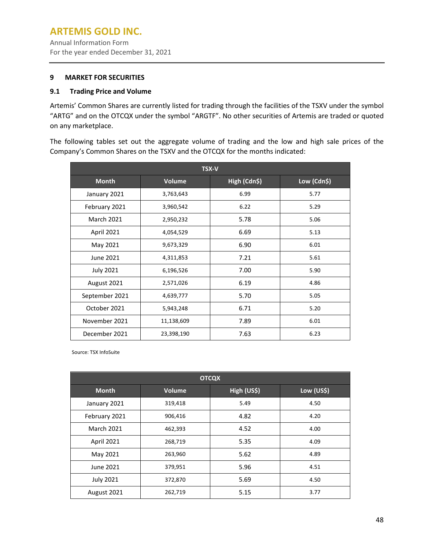Annual Information Form For the year ended December 31, 2021

#### <span id="page-50-0"></span>**9 MARKET FOR SECURITIES**

#### <span id="page-50-1"></span>**9.1 Trading Price and Volume**

Artemis' Common Shares are currently listed for trading through the facilities of the TSXV under the symbol "ARTG" and on the OTCQX under the symbol "ARGTF". No other securities of Artemis are traded or quoted on any marketplace.

The following tables set out the aggregate volume of trading and the low and high sale prices of the Company's Common Shares on the TSXV and the OTCQX for the months indicated:

| <b>TSX-V</b>      |               |              |             |  |  |  |
|-------------------|---------------|--------------|-------------|--|--|--|
| <b>Month</b>      | <b>Volume</b> | High (Cdn\$) | Low (Cdn\$) |  |  |  |
| January 2021      | 3,763,643     | 6.99         | 5.77        |  |  |  |
| February 2021     | 3,960,542     | 6.22         | 5.29        |  |  |  |
| <b>March 2021</b> | 2,950,232     | 5.78         | 5.06        |  |  |  |
| <b>April 2021</b> | 4,054,529     | 6.69         | 5.13        |  |  |  |
| May 2021          | 9,673,329     | 6.90         | 6.01        |  |  |  |
| June 2021         | 4,311,853     | 7.21         | 5.61        |  |  |  |
| <b>July 2021</b>  | 6,196,526     | 7.00         | 5.90        |  |  |  |
| August 2021       | 2,571,026     | 6.19         | 4.86        |  |  |  |
| September 2021    | 4,639,777     | 5.70         | 5.05        |  |  |  |
| October 2021      | 5,943,248     | 6.71         | 5.20        |  |  |  |
| November 2021     | 11,138,609    | 7.89         | 6.01        |  |  |  |
| December 2021     | 23,398,190    | 7.63         | 6.23        |  |  |  |

Source: TSX InfoSuite

| <b>OTCQX</b>      |         |             |            |  |  |  |
|-------------------|---------|-------------|------------|--|--|--|
| <b>Month</b>      | Volume  | High (US\$) | Low (US\$) |  |  |  |
| January 2021      | 319,418 | 5.49        | 4.50       |  |  |  |
| February 2021     | 906,416 | 4.82        | 4.20       |  |  |  |
| <b>March 2021</b> | 462,393 | 4.52        | 4.00       |  |  |  |
| <b>April 2021</b> | 268,719 | 5.35        | 4.09       |  |  |  |
| May 2021          | 263,960 | 5.62        | 4.89       |  |  |  |
| June 2021         | 379,951 | 5.96        | 4.51       |  |  |  |
| <b>July 2021</b>  | 372,870 | 5.69        | 4.50       |  |  |  |
| August 2021       | 262,719 | 5.15        | 3.77       |  |  |  |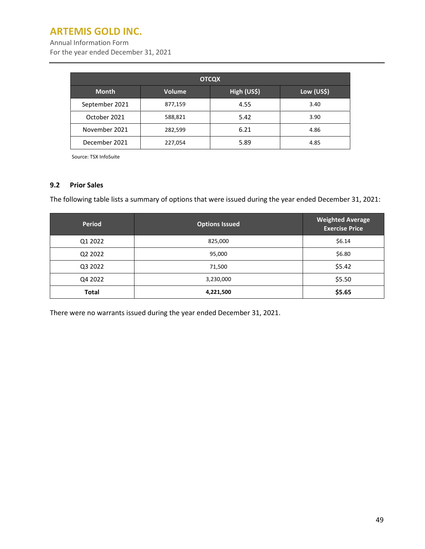Annual Information Form

For the year ended December 31, 2021

| <b>OTCQX</b>                                               |         |      |      |  |  |  |
|------------------------------------------------------------|---------|------|------|--|--|--|
| High (US\$)<br>Low (US\$)<br><b>Month</b><br><b>Volume</b> |         |      |      |  |  |  |
| September 2021                                             | 877,159 | 4.55 | 3.40 |  |  |  |
| October 2021                                               | 588,821 | 5.42 | 3.90 |  |  |  |
| November 2021                                              | 282,599 | 6.21 | 4.86 |  |  |  |
| December 2021                                              | 227,054 | 5.89 | 4.85 |  |  |  |

Source: TSX InfoSuite

#### <span id="page-51-0"></span>**9.2 Prior Sales**

The following table lists a summary of options that were issued during the year ended December 31, 2021:

| <b>Period</b> | <b>Options Issued</b> | <b>Weighted Average</b><br><b>Exercise Price</b> |
|---------------|-----------------------|--------------------------------------------------|
| Q1 2022       | 825,000               | \$6.14                                           |
| Q2 2022       | 95,000                | \$6.80                                           |
| Q3 2022       | 71,500                | \$5.42                                           |
| Q4 2022       | 3,230,000             | \$5.50                                           |
| <b>Total</b>  | 4,221,500             | \$5.65                                           |

<span id="page-51-1"></span>There were no warrants issued during the year ended December 31, 2021.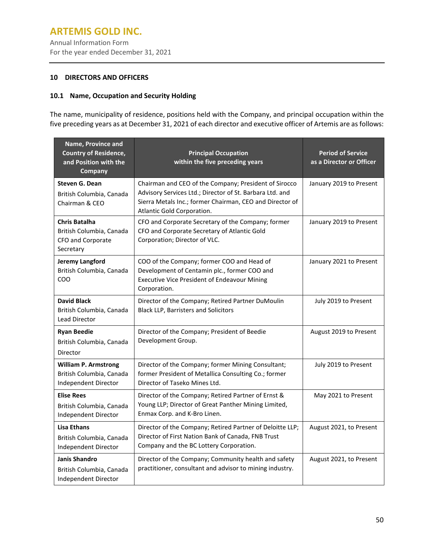Annual Information Form For the year ended December 31, 2021

#### **10 DIRECTORS AND OFFICERS**

## <span id="page-52-0"></span>**10.1 Name, Occupation and Security Holding**

The name, municipality of residence, positions held with the Company, and principal occupation within the five preceding years as at December 31, 2021 of each director and executive officer of Artemis are asfollows:

| Name, Province and<br><b>Country of Residence,</b><br>and Position with the<br>Company | <b>Principal Occupation</b><br>within the five preceding years                                                                                                                                              | <b>Period of Service</b><br>as a Director or Officer |
|----------------------------------------------------------------------------------------|-------------------------------------------------------------------------------------------------------------------------------------------------------------------------------------------------------------|------------------------------------------------------|
| Steven G. Dean<br>British Columbia, Canada<br>Chairman & CEO                           | Chairman and CEO of the Company; President of Sirocco<br>Advisory Services Ltd.; Director of St. Barbara Ltd. and<br>Sierra Metals Inc.; former Chairman, CEO and Director of<br>Atlantic Gold Corporation. | January 2019 to Present                              |
| <b>Chris Batalha</b><br>British Columbia, Canada<br>CFO and Corporate<br>Secretary     | CFO and Corporate Secretary of the Company; former<br>CFO and Corporate Secretary of Atlantic Gold<br>Corporation; Director of VLC.                                                                         | January 2019 to Present                              |
| <b>Jeremy Langford</b><br>British Columbia, Canada<br><b>COO</b>                       | COO of the Company; former COO and Head of<br>Development of Centamin plc., former COO and<br><b>Executive Vice President of Endeavour Mining</b><br>Corporation.                                           | January 2021 to Present                              |
| <b>David Black</b><br>British Columbia, Canada<br>Lead Director                        | Director of the Company; Retired Partner DuMoulin<br><b>Black LLP, Barristers and Solicitors</b>                                                                                                            | July 2019 to Present                                 |
| <b>Ryan Beedie</b><br>British Columbia, Canada<br>Director                             | Director of the Company; President of Beedie<br>Development Group.                                                                                                                                          | August 2019 to Present                               |
| <b>William P. Armstrong</b><br>British Columbia, Canada<br>Independent Director        | Director of the Company; former Mining Consultant;<br>former President of Metallica Consulting Co.; former<br>Director of Taseko Mines Ltd.                                                                 | July 2019 to Present                                 |
| <b>Elise Rees</b><br>British Columbia, Canada<br>Independent Director                  | Director of the Company; Retired Partner of Ernst &<br>Young LLP; Director of Great Panther Mining Limited,<br>Enmax Corp. and K-Bro Linen.                                                                 | May 2021 to Present                                  |
| <b>Lisa Ethans</b><br>British Columbia, Canada<br>Independent Director                 | Director of the Company; Retired Partner of Deloitte LLP;<br>Director of First Nation Bank of Canada, FNB Trust<br>Company and the BC Lottery Corporation.                                                  | August 2021, to Present                              |
| <b>Janis Shandro</b><br>British Columbia, Canada<br>Independent Director               | Director of the Company; Community health and safety<br>practitioner, consultant and advisor to mining industry.                                                                                            | August 2021, to Present                              |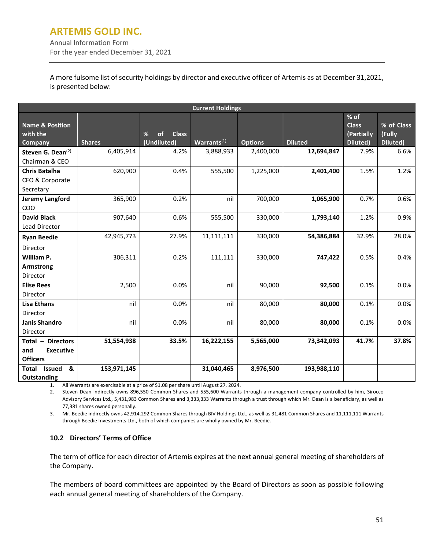Annual Information Form For the year ended December 31, 2021

A more fulsome list of security holdings by director and executive officer of Artemis as at December 31,2021, is presented below:

| <b>Current Holdings</b>                                         |               |                                        |                         |                |                |                                                  |                                  |  |  |
|-----------------------------------------------------------------|---------------|----------------------------------------|-------------------------|----------------|----------------|--------------------------------------------------|----------------------------------|--|--|
| <b>Name &amp; Position</b><br>with the<br>Company               | <b>Shares</b> | %<br><b>Class</b><br>of<br>(Undiluted) | Warrants <sup>(1)</sup> | <b>Options</b> | <b>Diluted</b> | $%$ of<br><b>Class</b><br>(Partially<br>Diluted) | % of Class<br>(Fully<br>Diluted) |  |  |
| Steven G. Dean <sup>(2)</sup><br>Chairman & CEO                 | 6,405,914     | 4.2%                                   | 3,888,933               | 2,400,000      | 12,694,847     | 7.9%                                             | 6.6%                             |  |  |
| <b>Chris Batalha</b><br>CFO & Corporate<br>Secretary            | 620,900       | 0.4%                                   | 555,500                 | 1,225,000      | 2,401,400      | 1.5%                                             | 1.2%                             |  |  |
| Jeremy Langford<br>COO                                          | 365,900       | 0.2%                                   | nil                     | 700,000        | 1,065,900      | 0.7%                                             | 0.6%                             |  |  |
| <b>David Black</b><br>Lead Director                             | 907,640       | 0.6%                                   | 555,500                 | 330,000        | 1,793,140      | 1.2%                                             | 0.9%                             |  |  |
| <b>Ryan Beedie</b><br>Director                                  | 42,945,773    | 27.9%                                  | 11,111,111              | 330,000        | 54,386,884     | 32.9%                                            | 28.0%                            |  |  |
| William P.<br><b>Armstrong</b><br>Director                      | 306,311       | 0.2%                                   | 111,111                 | 330,000        | 747,422        | 0.5%                                             | 0.4%                             |  |  |
| <b>Elise Rees</b><br>Director                                   | 2,500         | 0.0%                                   | nil                     | 90,000         | 92,500         | 0.1%                                             | 0.0%                             |  |  |
| <b>Lisa Ethans</b><br>Director                                  | nil           | 0.0%                                   | nil                     | 80,000         | 80,000         | 0.1%                                             | 0.0%                             |  |  |
| Janis Shandro<br>Director                                       | nil           | 0.0%                                   | nil                     | 80,000         | 80,000         | 0.1%                                             | 0.0%                             |  |  |
| Total - Directors<br>and<br><b>Executive</b><br><b>Officers</b> | 51,554,938    | 33.5%                                  | 16,222,155              | 5,565,000      | 73,342,093     | 41.7%                                            | 37.8%                            |  |  |
| <b>Issued</b><br>&<br>Total<br>Outstanding                      | 153,971,145   |                                        | 31,040,465              | 8,976,500      | 193,988,110    |                                                  |                                  |  |  |

1. All Warrants are exercisable at a price of \$1.08 per share until August 27, 2024.

2. Steven Dean indirectly owns 896,550 Common Shares and 555,600 Warrants through a management company controlled by him, Sirocco Advisory Services Ltd., 5,431,983 Common Shares and 3,333,333 Warrants through a trust through which Mr. Dean is a beneficiary, as well as 77,381 shares owned personally.

3. Mr. Beedie indirectly owns 42,914,292 Common Shares through BIV Holdings Ltd., as well as 31,481 Common Shares and 11,111,111 Warrants through Beedie Investments Ltd., both of which companies are wholly owned by Mr. Beedie.

#### <span id="page-53-0"></span>**10.2 Directors' Terms of Office**

The term of office for each director of Artemis expires at the next annual general meeting of shareholders of the Company.

The members of board committees are appointed by the Board of Directors as soon as possible following each annual general meeting of shareholders of the Company.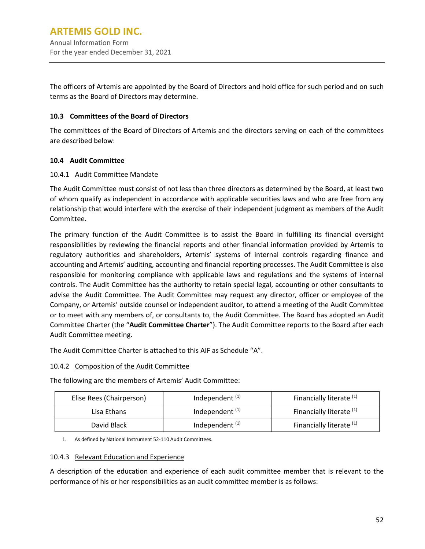The officers of Artemis are appointed by the Board of Directors and hold office for such period and on such terms as the Board of Directors may determine.

## <span id="page-54-0"></span>**10.3 Committees of the Board of Directors**

The committees of the Board of Directors of Artemis and the directors serving on each of the committees are described below:

#### <span id="page-54-1"></span>**10.4 Audit Committee**

#### 10.4.1 Audit Committee Mandate

The Audit Committee must consist of not less than three directors as determined by the Board, at least two of whom qualify as independent in accordance with applicable securities laws and who are free from any relationship that would interfere with the exercise of their independent judgment as members of the Audit Committee.

The primary function of the Audit Committee is to assist the Board in fulfilling its financial oversight responsibilities by reviewing the financial reports and other financial information provided by Artemis to regulatory authorities and shareholders, Artemis' systems of internal controls regarding finance and accounting and Artemis' auditing, accounting and financial reporting processes. The Audit Committee is also responsible for monitoring compliance with applicable laws and regulations and the systems of internal controls. The Audit Committee has the authority to retain special legal, accounting or other consultants to advise the Audit Committee. The Audit Committee may request any director, officer or employee of the Company, or Artemis' outside counsel or independent auditor, to attend a meeting of the Audit Committee or to meet with any members of, or consultants to, the Audit Committee. The Board has adopted an Audit Committee Charter (the "**Audit Committee Charter**"). The Audit Committee reports to the Board after each Audit Committee meeting.

The Audit Committee Charter is attached to this AIF as Schedule "A".

#### 10.4.2 Composition of the Audit Committee

The following are the members of Artemis' Audit Committee:

| Elise Rees (Chairperson) | Independent $(1)$ | Financially literate (1)            |  |
|--------------------------|-------------------|-------------------------------------|--|
| Lisa Ethans              | Independent $(1)$ | Financially literate <sup>(1)</sup> |  |
| David Black              | Independent $(1)$ | Financially literate <sup>(1)</sup> |  |

1. As defined by National Instrument 52-110 Audit Committees.

#### 10.4.3 Relevant Education and Experience

A description of the education and experience of each audit committee member that is relevant to the performance of his or her responsibilities as an audit committee member is as follows: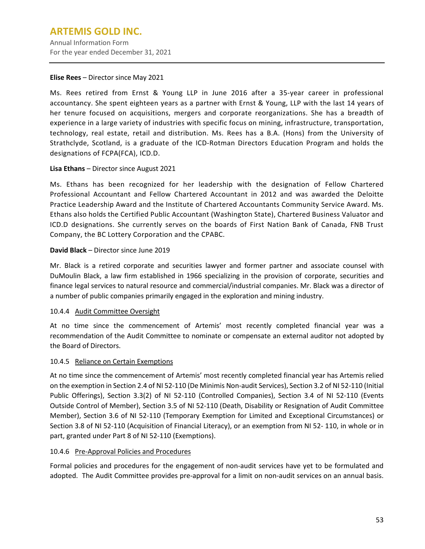## **ARTEMIS GOLD INC.** Annual Information Form

For the year ended December 31, 2021

#### **Elise Rees** – Director since May 2021

Ms. Rees retired from Ernst & Young LLP in June 2016 after a 35-year career in professional accountancy. She spent eighteen years as a partner with Ernst & Young, LLP with the last 14 years of her tenure focused on acquisitions, mergers and corporate reorganizations. She has a breadth of experience in a large variety of industries with specific focus on mining, infrastructure, transportation, technology, real estate, retail and distribution. Ms. Rees has a B.A. (Hons) from the University of Strathclyde, Scotland, is a graduate of the ICD-Rotman Directors Education Program and holds the designations of FCPA(FCA), ICD.D.

## **Lisa Ethans** – Director since August 2021

Ms. Ethans has been recognized for her leadership with the designation of Fellow Chartered Professional Accountant and Fellow Chartered Accountant in 2012 and was awarded the Deloitte Practice Leadership Award and the Institute of Chartered Accountants Community Service Award. Ms. Ethans also holds the Certified Public Accountant (Washington State), Chartered Business Valuator and ICD.D designations. She currently serves on the boards of First Nation Bank of Canada, FNB Trust Company, the BC Lottery Corporation and the CPABC.

## **David Black** – Director since June 2019

Mr. Black is a retired corporate and securities lawyer and former partner and associate counsel with DuMoulin Black, a law firm established in 1966 specializing in the provision of corporate, securities and finance legal services to natural resource and commercial/industrial companies. Mr. Black was a director of a number of public companies primarily engaged in the exploration and mining industry.

## 10.4.4 Audit Committee Oversight

At no time since the commencement of Artemis' most recently completed financial year was a recommendation of the Audit Committee to nominate or compensate an external auditor not adopted by the Board of Directors.

## 10.4.5 Reliance on Certain Exemptions

At no time since the commencement of Artemis' most recently completed financial year has Artemis relied on the exemption in Section 2.4 of NI 52-110 (De Minimis Non-audit Services), Section 3.2 of NI 52-110 (Initial Public Offerings), Section 3.3(2) of NI 52-110 (Controlled Companies), Section 3.4 of NI 52-110 (Events Outside Control of Member), Section 3.5 of NI 52-110 (Death, Disability or Resignation of Audit Committee Member), Section 3.6 of NI 52-110 (Temporary Exemption for Limited and Exceptional Circumstances) or Section 3.8 of NI 52-110 (Acquisition of Financial Literacy), or an exemption from NI 52- 110, in whole or in part, granted under Part 8 of NI 52-110 (Exemptions).

#### 10.4.6 Pre-Approval Policies and Procedures

Formal policies and procedures for the engagement of non-audit services have yet to be formulated and adopted. The Audit Committee provides pre-approval for a limit on non-audit services on an annual basis.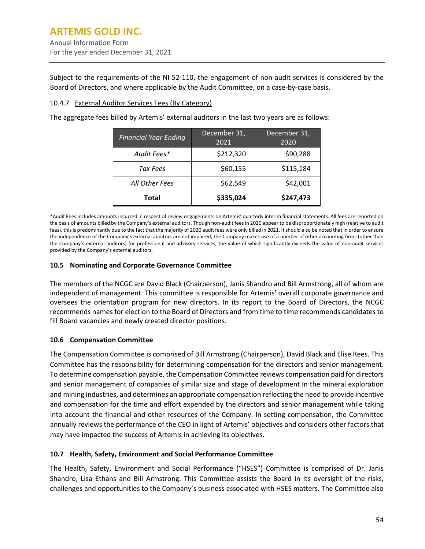Subject to the requirements of the NI 52-110, the engagement of non-audit services is considered by the Board of Directors, and where applicable by the Audit Committee, on a case-by-case basis.

#### 10.4.7 External Auditor Services Fees (By Category)

The aggregate fees billed by Artemis' external auditors in the last two years are as follows:

| <b>Financial Year Ending</b> | December 31,<br>2021 | December 31,<br>2020 |  |
|------------------------------|----------------------|----------------------|--|
| Audit Fees*                  | \$212,320            | \$90,288             |  |
| Tax Fees                     | \$60,155             | \$115,184            |  |
| All Other Fees               | \$62,549             | \$42,001             |  |
| <b>Total</b>                 | \$335,024            | \$247,473            |  |

\*Audit Fees includes amounts incurred in respect of review engagements on Artemis' quarterly interim financial statements. All fees are reported on the basis of amounts billed by the Company's external auditors. Though non-audit fees in 2020 appear to be disproportionately high (relative to audit fees), this is predominantly due to the fact that the majority of 2020 audit fees were only billed in 2021. It should also be noted that in order to ensure the independence of the Company's external auditors are not impaired, the Company makes use of a number of other accounting firms (other than the Company's external auditors) for professional and advisory services, the value of which significantly exceeds the value of non-audit services provided by the Company's external auditors.

#### <span id="page-56-0"></span>**10.5 Nominating and Corporate Governance Committee**

The members of the NCGC are David Black (Chairperson), Janis Shandro and Bill Armstrong, all of whom are independent of management. This committee is responsible for Artemis' overall corporate governance and oversees the orientation program for new directors. In its report to the Board of Directors, the NCGC recommends names for election to the Board of Directors and from time to time recommends candidates to fill Board vacancies and newly created director positions.

#### <span id="page-56-1"></span>**10.6 Compensation Committee**

The Compensation Committee is comprised of Bill Armstrong (Chairperson), David Black and Elise Rees. This Committee has the responsibility for determining compensation for the directors and senior management. To determine compensation payable, the Compensation Committee reviews compensation paid for directors and senior management of companies of similar size and stage of development in the mineral exploration and mining industries, and determines an appropriate compensation reflecting the need to provide incentive and compensation for the time and effort expended by the directors and senior management while taking into account the financial and other resources of the Company. In setting compensation, the Committee annually reviews the performance of the CEO in light of Artemis' objectives and considers other factors that may have impacted the success of Artemis in achieving its objectives.

#### <span id="page-56-2"></span>**10.7 Health, Safety, Environment and Social Performance Committee**

The Health, Safety, Environment and Social Performance ("HSES") Committee is comprised of Dr. Janis Shandro, Lisa Ethans and Bill Armstrong. This Committee assists the Board in its oversight of the risks, challenges and opportunities to the Company's business associated with HSES matters. The Committee also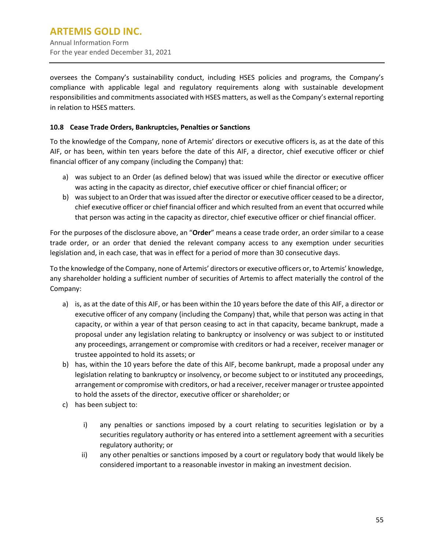oversees the Company's sustainability conduct, including HSES policies and programs, the Company's compliance with applicable legal and regulatory requirements along with sustainable development responsibilities and commitments associated with HSES matters, as well asthe Company's external reporting in relation to HSES matters.

#### **10.8 Cease Trade Orders, Bankruptcies, Penalties or Sanctions**

To the knowledge of the Company, none of Artemis' directors or executive officers is, as at the date of this AIF, or has been, within ten years before the date of this AIF, a director, chief executive officer or chief financial officer of any company (including the Company) that:

- a) was subject to an Order (as defined below) that was issued while the director or executive officer was acting in the capacity as director, chief executive officer or chief financial officer; or
- b) was subject to an Order that was issued after the director or executive officer ceased to be a director, chief executive officer or chief financial officer and which resulted from an event that occurred while that person was acting in the capacity as director, chief executive officer or chief financial officer.

For the purposes of the disclosure above, an "**Order**" means a cease trade order, an order similar to a cease trade order, or an order that denied the relevant company access to any exemption under securities legislation and, in each case, that was in effect for a period of more than 30 consecutive days.

To the knowledge of the Company, none of Artemis' directors or executive officers or, to Artemis' knowledge, any shareholder holding a sufficient number of securities of Artemis to affect materially the control of the Company:

- a) is, as at the date of this AIF, or has been within the 10 years before the date of this AIF, a director or executive officer of any company (including the Company) that, while that person was acting in that capacity, or within a year of that person ceasing to act in that capacity, became bankrupt, made a proposal under any legislation relating to bankruptcy or insolvency or was subject to or instituted any proceedings, arrangement or compromise with creditors or had a receiver, receiver manager or trustee appointed to hold its assets; or
- b) has, within the 10 years before the date of this AIF, become bankrupt, made a proposal under any legislation relating to bankruptcy or insolvency, or become subject to or instituted any proceedings, arrangement or compromise with creditors, or had a receiver, receiver manager or trustee appointed to hold the assets of the director, executive officer or shareholder; or
- c) has been subject to:
	- i) any penalties or sanctions imposed by a court relating to securities legislation or by a securities regulatory authority or has entered into a settlement agreement with a securities regulatory authority; or
	- ii) any other penalties or sanctions imposed by a court or regulatory body that would likely be considered important to a reasonable investor in making an investment decision.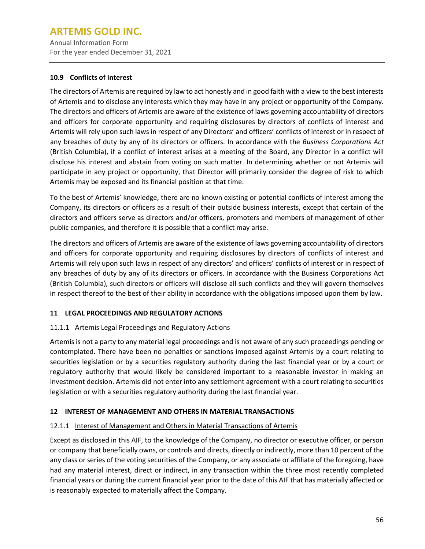Annual Information Form For the year ended December 31, 2021

## <span id="page-58-0"></span>**10.9 Conflicts of Interest**

The directors of Artemis are required by law to act honestly and in good faith with a view to the best interests of Artemis and to disclose any interests which they may have in any project or opportunity of the Company. The directors and officers of Artemis are aware of the existence of laws governing accountability of directors and officers for corporate opportunity and requiring disclosures by directors of conflicts of interest and Artemis will rely upon such laws in respect of any Directors' and officers' conflicts of interest or in respect of any breaches of duty by any of its directors or officers. In accordance with the *Business Corporations Act* (British Columbia), if a conflict of interest arises at a meeting of the Board, any Director in a conflict will disclose his interest and abstain from voting on such matter. In determining whether or not Artemis will participate in any project or opportunity, that Director will primarily consider the degree of risk to which Artemis may be exposed and its financial position at that time.

To the best of Artemis' knowledge, there are no known existing or potential conflicts of interest among the Company, its directors or officers as a result of their outside business interests, except that certain of the directors and officers serve as directors and/or officers, promoters and members of management of other public companies, and therefore it is possible that a conflict may arise.

The directors and officers of Artemis are aware of the existence of laws governing accountability of directors and officers for corporate opportunity and requiring disclosures by directors of conflicts of interest and Artemis will rely upon such laws in respect of any directors' and officers' conflicts of interest or in respect of any breaches of duty by any of its directors or officers. In accordance with the Business Corporations Act (British Columbia), such directors or officers will disclose all such conflicts and they will govern themselves in respect thereof to the best of their ability in accordance with the obligations imposed upon them by law.

## <span id="page-58-1"></span>**11 LEGAL PROCEEDINGS AND REGULATORY ACTIONS**

## 11.1.1 Artemis Legal Proceedings and Regulatory Actions

Artemis is not a party to any material legal proceedings and is not aware of any such proceedings pending or contemplated. There have been no penalties or sanctions imposed against Artemis by a court relating to securities legislation or by a securities regulatory authority during the last financial year or by a court or regulatory authority that would likely be considered important to a reasonable investor in making an investment decision. Artemis did not enter into any settlement agreement with a court relating to securities legislation or with a securities regulatory authority during the last financial year.

## <span id="page-58-2"></span>**12 INTEREST OF MANAGEMENT AND OTHERS IN MATERIAL TRANSACTIONS**

#### 12.1.1 Interest of Management and Others in Material Transactions of Artemis

Except as disclosed in this AIF, to the knowledge of the Company, no director or executive officer, or person or company that beneficially owns, or controls and directs, directly or indirectly, more than 10 percent of the any class or series of the voting securities of the Company, or any associate or affiliate of the foregoing, have had any material interest, direct or indirect, in any transaction within the three most recently completed financial years or during the current financial year prior to the date of this AIF that has materially affected or is reasonably expected to materially affect the Company.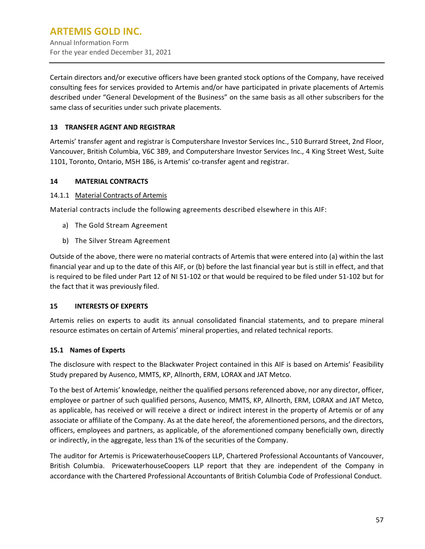Certain directors and/or executive officers have been granted stock options of the Company, have received consulting fees for services provided to Artemis and/or have participated in private placements of Artemis described under "General Development of the Business" on the same basis as all other subscribers for the same class of securities under such private placements.

## <span id="page-59-0"></span>**13 TRANSFER AGENT AND REGISTRAR**

Artemis' transfer agent and registrar is Computershare Investor Services Inc., 510 Burrard Street, 2nd Floor, Vancouver, British Columbia, V6C 3B9, and Computershare Investor Services Inc., 4 King Street West, Suite 1101, Toronto, Ontario, M5H 1B6, is Artemis' co-transfer agent and registrar.

#### <span id="page-59-1"></span>**14 MATERIAL CONTRACTS**

#### 14.1.1 Material Contracts of Artemis

Material contracts include the following agreements described elsewhere in this AIF:

- a) The Gold Stream Agreement
- b) The Silver Stream Agreement

Outside of the above, there were no material contracts of Artemis that were entered into (a) within the last financial year and up to the date of this AIF, or (b) before the last financial year but is still in effect, and that is required to be filed under Part 12 of NI 51-102 or that would be required to be filed under 51-102 but for the fact that it was previously filed.

#### <span id="page-59-2"></span>**15 INTERESTS OF EXPERTS**

Artemis relies on experts to audit its annual consolidated financial statements, and to prepare mineral resource estimates on certain of Artemis' mineral properties, and related technical reports.

#### <span id="page-59-3"></span>**15.1 Names of Experts**

The disclosure with respect to the Blackwater Project contained in this AIF is based on Artemis' Feasibility Study prepared by Ausenco, MMTS, KP, Allnorth, ERM, LORAX and JAT Metco.

To the best of Artemis' knowledge, neither the qualified persons referenced above, nor any director, officer, employee or partner of such qualified persons, Ausenco, MMTS, KP, Allnorth, ERM, LORAX and JAT Metco, as applicable, has received or will receive a direct or indirect interest in the property of Artemis or of any associate or affiliate of the Company. As at the date hereof, the aforementioned persons, and the directors, officers, employees and partners, as applicable, of the aforementioned company beneficially own, directly or indirectly, in the aggregate, less than 1% of the securities of the Company.

The auditor for Artemis is PricewaterhouseCoopers LLP, Chartered Professional Accountants of Vancouver, British Columbia. PricewaterhouseCoopers LLP report that they are independent of the Company in accordance with the Chartered Professional Accountants of British Columbia Code of Professional Conduct.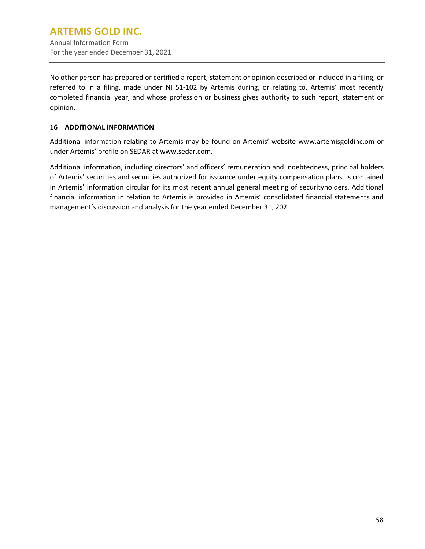No other person has prepared or certified a report, statement or opinion described or included in a filing, or referred to in a filing, made under NI 51-102 by Artemis during, or relating to, Artemis' most recently completed financial year, and whose profession or business gives authority to such report, statement or opinion.

## <span id="page-60-0"></span>**16 ADDITIONAL INFORMATION**

Additional information relating to Artemis may be found on Artemis' website www.artemisgoldinc.om or under Artemis' profile on SEDAR at www.sedar.com.

Additional information, including directors' and officers' remuneration and indebtedness, principal holders of Artemis' securities and securities authorized for issuance under equity compensation plans, is contained in Artemis' information circular for its most recent annual general meeting of securityholders. Additional financial information in relation to Artemis is provided in Artemis' consolidated financial statements and management's discussion and analysis for the year ended December 31, 2021.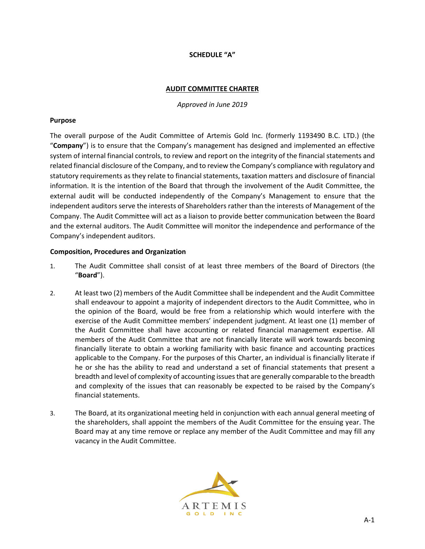## **SCHEDULE "A"**

#### **AUDIT COMMITTEE CHARTER**

*Approved in June 2019*

#### **Purpose**

The overall purpose of the Audit Committee of Artemis Gold Inc. (formerly 1193490 B.C. LTD.) (the "**Company**") is to ensure that the Company's management has designed and implemented an effective system of internal financial controls, to review and report on the integrity of the financial statements and related financial disclosure of the Company, and to review the Company's compliance with regulatory and statutory requirements as they relate to financial statements, taxation matters and disclosure of financial information. It is the intention of the Board that through the involvement of the Audit Committee, the external audit will be conducted independently of the Company's Management to ensure that the independent auditors serve the interests of Shareholders rather than the interests of Management of the Company. The Audit Committee will act as a liaison to provide better communication between the Board and the external auditors. The Audit Committee will monitor the independence and performance of the Company's independent auditors.

#### **Composition, Procedures and Organization**

- 1. The Audit Committee shall consist of at least three members of the Board of Directors (the "**Board**").
- 2. At least two (2) members of the Audit Committee shall be independent and the Audit Committee shall endeavour to appoint a majority of independent directors to the Audit Committee, who in the opinion of the Board, would be free from a relationship which would interfere with the exercise of the Audit Committee members' independent judgment. At least one (1) member of the Audit Committee shall have accounting or related financial management expertise. All members of the Audit Committee that are not financially literate will work towards becoming financially literate to obtain a working familiarity with basic finance and accounting practices applicable to the Company. For the purposes of this Charter, an individual is financially literate if he or she has the ability to read and understand a set of financial statements that present a breadth and level of complexity of accounting issues that are generally comparable to the breadth and complexity of the issues that can reasonably be expected to be raised by the Company's financial statements.
- 3. The Board, at its organizational meeting held in conjunction with each annual general meeting of the shareholders, shall appoint the members of the Audit Committee for the ensuing year. The Board may at any time remove or replace any member of the Audit Committee and may fill any vacancy in the Audit Committee.

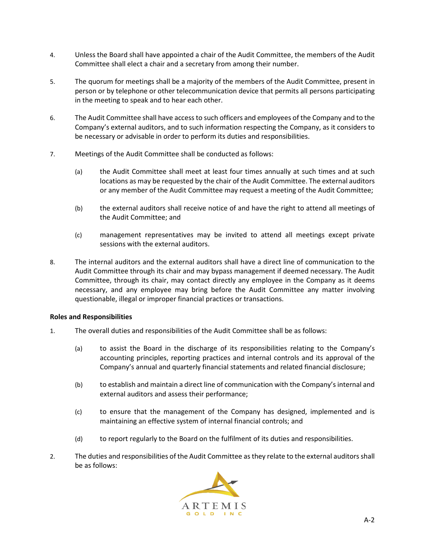- 4. Unless the Board shall have appointed a chair of the Audit Committee, the members of the Audit Committee shall elect a chair and a secretary from among their number.
- 5. The quorum for meetings shall be a majority of the members of the Audit Committee, present in person or by telephone or other telecommunication device that permits all persons participating in the meeting to speak and to hear each other.
- 6. The Audit Committee shall have access to such officers and employees of the Company and to the Company's external auditors, and to such information respecting the Company, as it considers to be necessary or advisable in order to perform its duties and responsibilities.
- 7. Meetings of the Audit Committee shall be conducted as follows:
	- (a) the Audit Committee shall meet at least four times annually at such times and at such locations as may be requested by the chair of the Audit Committee. The external auditors or any member of the Audit Committee may request a meeting of the Audit Committee;
	- (b) the external auditors shall receive notice of and have the right to attend all meetings of the Audit Committee; and
	- (c) management representatives may be invited to attend all meetings except private sessions with the external auditors.
- 8. The internal auditors and the external auditors shall have a direct line of communication to the Audit Committee through its chair and may bypass management if deemed necessary. The Audit Committee, through its chair, may contact directly any employee in the Company as it deems necessary, and any employee may bring before the Audit Committee any matter involving questionable, illegal or improper financial practices or transactions.

#### **Roles and Responsibilities**

- 1. The overall duties and responsibilities of the Audit Committee shall be as follows:
	- (a) to assist the Board in the discharge of its responsibilities relating to the Company's accounting principles, reporting practices and internal controls and its approval of the Company's annual and quarterly financial statements and related financial disclosure;
	- (b) to establish and maintain a direct line of communication with the Company's internal and external auditors and assess their performance;
	- (c) to ensure that the management of the Company has designed, implemented and is maintaining an effective system of internal financial controls; and
	- (d) to report regularly to the Board on the fulfilment of its duties and responsibilities.
- 2. The duties and responsibilities of the Audit Committee as they relate to the external auditors shall be as follows:

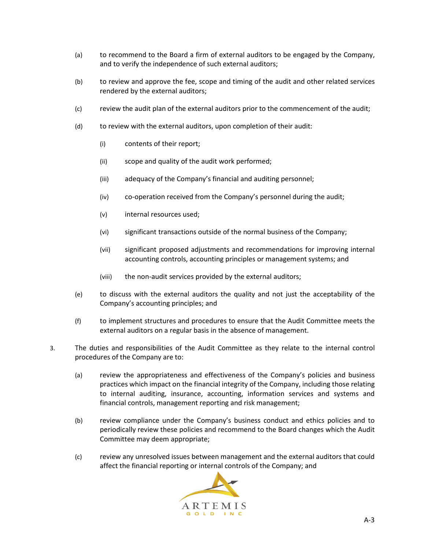- (a) to recommend to the Board a firm of external auditors to be engaged by the Company, and to verify the independence of such external auditors;
- (b) to review and approve the fee, scope and timing of the audit and other related services rendered by the external auditors;
- (c) review the audit plan of the external auditors prior to the commencement of the audit;
- (d) to review with the external auditors, upon completion of their audit:
	- (i) contents of their report;
	- (ii) scope and quality of the audit work performed;
	- (iii) adequacy of the Company's financial and auditing personnel;
	- (iv) co-operation received from the Company's personnel during the audit;
	- (v) internal resources used;
	- (vi) significant transactions outside of the normal business of the Company;
	- (vii) significant proposed adjustments and recommendations for improving internal accounting controls, accounting principles or management systems; and
	- (viii) the non-audit services provided by the external auditors;
- (e) to discuss with the external auditors the quality and not just the acceptability of the Company's accounting principles; and
- (f) to implement structures and procedures to ensure that the Audit Committee meets the external auditors on a regular basis in the absence of management.
- 3. The duties and responsibilities of the Audit Committee as they relate to the internal control procedures of the Company are to:
	- (a) review the appropriateness and effectiveness of the Company's policies and business practices which impact on the financial integrity of the Company, including those relating to internal auditing, insurance, accounting, information services and systems and financial controls, management reporting and risk management;
	- (b) review compliance under the Company's business conduct and ethics policies and to periodically review these policies and recommend to the Board changes which the Audit Committee may deem appropriate;
	- (c) review any unresolved issues between management and the external auditors that could affect the financial reporting or internal controls of the Company; and

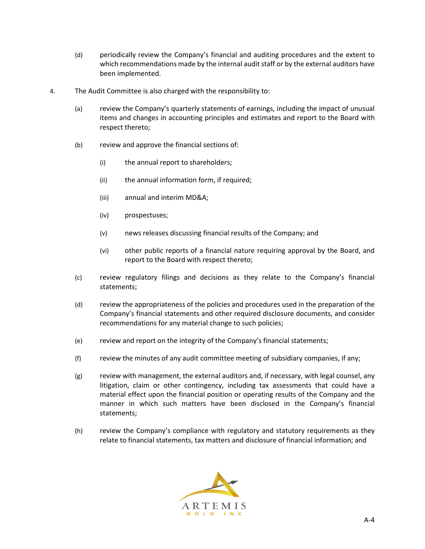- (d) periodically review the Company's financial and auditing procedures and the extent to which recommendations made by the internal audit staff or by the external auditors have been implemented.
- 4. The Audit Committee is also charged with the responsibility to:
	- (a) review the Company's quarterly statements of earnings, including the impact of unusual items and changes in accounting principles and estimates and report to the Board with respect thereto;
	- (b) review and approve the financial sections of:
		- (i) the annual report to shareholders;
		- (ii) the annual information form, if required;
		- (iii) annual and interim MD&A;
		- (iv) prospectuses;
		- (v) news releases discussing financial results of the Company; and
		- (vi) other public reports of a financial nature requiring approval by the Board, and report to the Board with respect thereto;
	- (c) review regulatory filings and decisions as they relate to the Company's financial statements;
	- (d) review the appropriateness of the policies and procedures used in the preparation of the Company's financial statements and other required disclosure documents, and consider recommendations for any material change to such policies;
	- (e) review and report on the integrity of the Company's financial statements;
	- (f) review the minutes of any audit committee meeting of subsidiary companies, if any;
	- (g) review with management, the external auditors and, if necessary, with legal counsel, any litigation, claim or other contingency, including tax assessments that could have a material effect upon the financial position or operating results of the Company and the manner in which such matters have been disclosed in the Company's financial statements;
	- (h) review the Company's compliance with regulatory and statutory requirements as they relate to financial statements, tax matters and disclosure of financial information; and